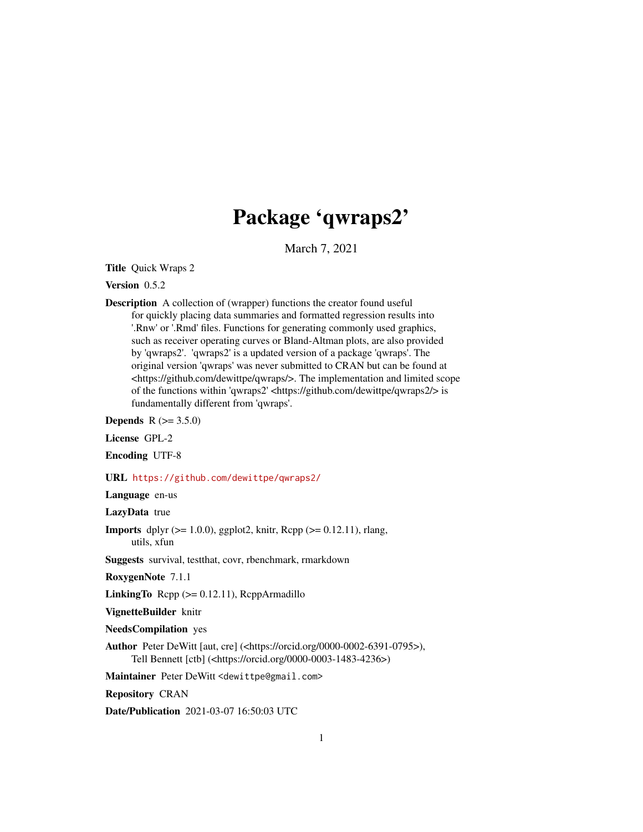# Package 'qwraps2'

March 7, 2021

<span id="page-0-0"></span>Title Quick Wraps 2

Version 0.5.2

Description A collection of (wrapper) functions the creator found useful for quickly placing data summaries and formatted regression results into '.Rnw' or '.Rmd' files. Functions for generating commonly used graphics, such as receiver operating curves or Bland-Altman plots, are also provided by 'qwraps2'. 'qwraps2' is a updated version of a package 'qwraps'. The original version 'qwraps' was never submitted to CRAN but can be found at <https://github.com/dewittpe/qwraps/>. The implementation and limited scope of the functions within 'qwraps2' <https://github.com/dewittpe/qwraps2/> is fundamentally different from 'qwraps'.

**Depends**  $R (= 3.5.0)$ 

License GPL-2

Encoding UTF-8

URL <https://github.com/dewittpe/qwraps2/>

Language en-us

LazyData true

**Imports** dplyr  $(>= 1.0.0)$ , ggplot2, knitr, Rcpp  $(>= 0.12.11)$ , rlang, utils, xfun

Suggests survival, testthat, covr, rbenchmark, rmarkdown

RoxygenNote 7.1.1

LinkingTo  $\text{Rcpp} (> = 0.12.11)$ ,  $\text{RcppArmadillo}$ 

VignetteBuilder knitr

NeedsCompilation yes

Author Peter DeWitt [aut, cre] (<https://orcid.org/0000-0002-6391-0795>), Tell Bennett [ctb] (<https://orcid.org/0000-0003-1483-4236>)

Maintainer Peter DeWitt <dewittpe@gmail.com>

Repository CRAN

Date/Publication 2021-03-07 16:50:03 UTC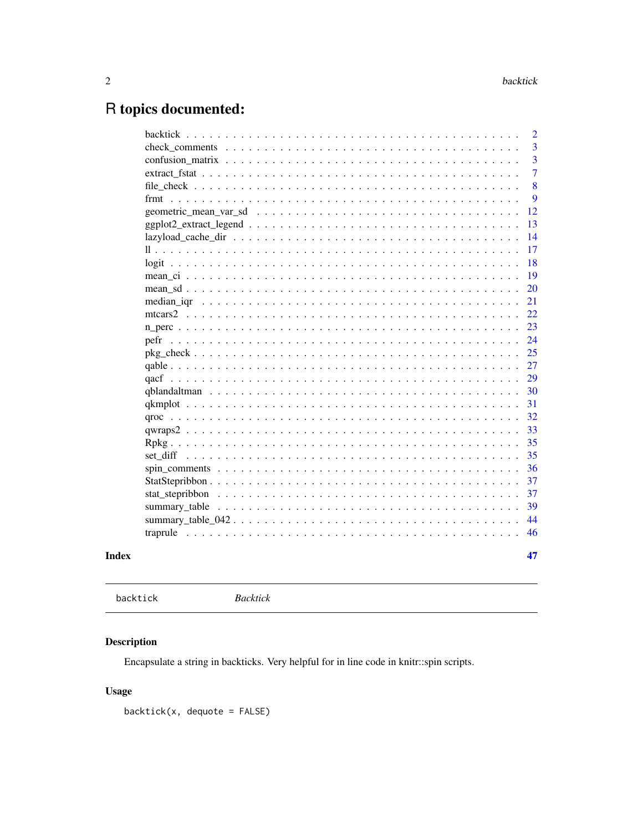# <span id="page-1-0"></span>R topics documented:

|                                                                                                                      | $\overline{2}$ |
|----------------------------------------------------------------------------------------------------------------------|----------------|
|                                                                                                                      | 3              |
|                                                                                                                      | 3              |
|                                                                                                                      | $\overline{7}$ |
|                                                                                                                      | 8              |
|                                                                                                                      | 9              |
|                                                                                                                      | 12             |
| $ggplot2\_extract\_legend \dots \dots \dots \dots \dots \dots \dots \dots \dots \dots \dots \dots \dots \dots \dots$ | 13             |
|                                                                                                                      | 14             |
|                                                                                                                      | 17             |
|                                                                                                                      | 18             |
|                                                                                                                      | 19             |
|                                                                                                                      | 20             |
|                                                                                                                      | 21             |
|                                                                                                                      | 22             |
|                                                                                                                      | 23             |
| pefr                                                                                                                 | 24             |
|                                                                                                                      | 25             |
|                                                                                                                      | 27             |
|                                                                                                                      | 29             |
|                                                                                                                      | 30             |
|                                                                                                                      | 31             |
|                                                                                                                      | 32             |
|                                                                                                                      | 33             |
|                                                                                                                      | 35             |
|                                                                                                                      | 35             |
|                                                                                                                      | 36             |
|                                                                                                                      | 37             |
|                                                                                                                      | 37             |
|                                                                                                                      | 39             |
|                                                                                                                      | 44             |
|                                                                                                                      | 46             |
|                                                                                                                      |                |
|                                                                                                                      | 47             |
|                                                                                                                      |                |

```
Index
```

```
backtick
```
 $Backtick$ 

# **Description**

Encapsulate a string in backticks. Very helpful for in line code in knitr::spin scripts.

# **Usage**

 $backtick(x, *dequote* = FALSE)$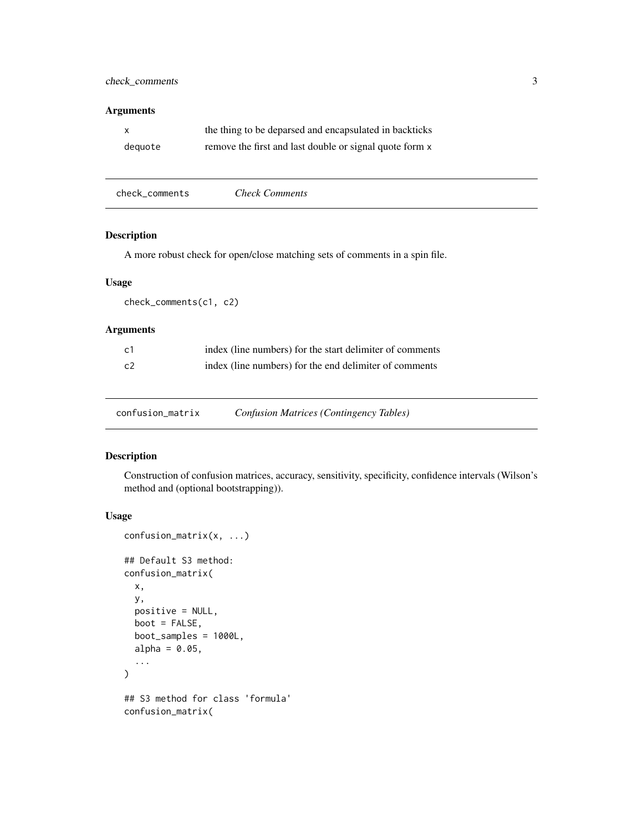# <span id="page-2-0"></span>check\_comments 3

# Arguments

| x       | the thing to be deparsed and encapsulated in backticks  |
|---------|---------------------------------------------------------|
| dequote | remove the first and last double or signal quote form x |

| check comments<br><b>Check Comments</b> |
|-----------------------------------------|
|-----------------------------------------|

# Description

A more robust check for open/close matching sets of comments in a spin file.

# Usage

check\_comments(c1, c2)

# Arguments

| - c1 | index (line numbers) for the start delimiter of comments |
|------|----------------------------------------------------------|
| c2   | index (line numbers) for the end delimiter of comments   |

confusion\_matrix *Confusion Matrices (Contingency Tables)*

# Description

Construction of confusion matrices, accuracy, sensitivity, specificity, confidence intervals (Wilson's method and (optional bootstrapping)).

# Usage

```
confusion_matrix(x, ...)
## Default S3 method:
confusion_matrix(
 x,
 y,
 positive = NULL,
 boot = FALSE,boot_samples = 1000L,
  alpha = 0.05,
  ...
\mathcal{L}## S3 method for class 'formula'
confusion_matrix(
```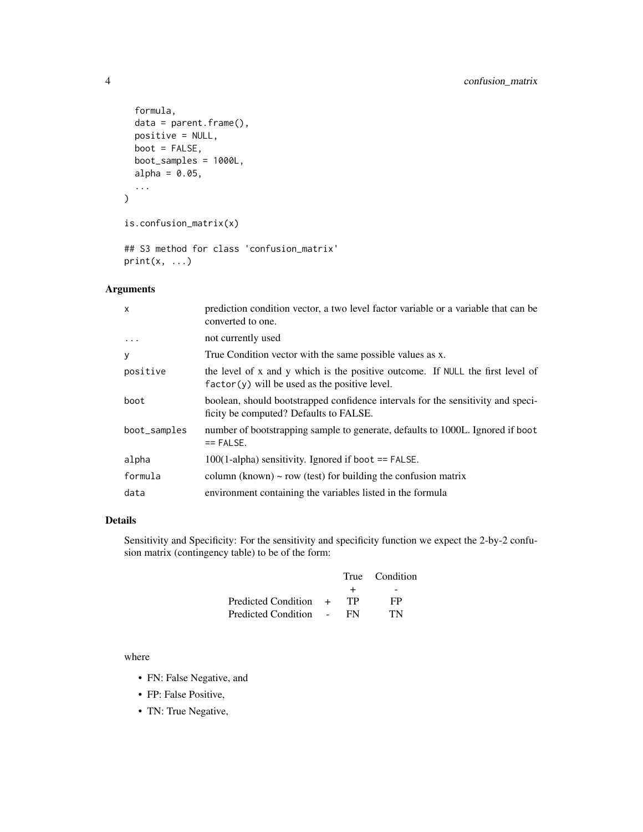```
formula,
 data = parent.frame(),
 positive = NULL,
 boot = FALSE,
 boot_samples = 1000L,
 alpha = 0.05,
  ...
\mathcal{L}is.confusion_matrix(x)
```
## S3 method for class 'confusion\_matrix'  $print(x, \ldots)$ 

# Arguments

| $\times$     | prediction condition vector, a two level factor variable or a variable that can be<br>converted to one.                           |
|--------------|-----------------------------------------------------------------------------------------------------------------------------------|
| .            | not currently used                                                                                                                |
| У            | True Condition vector with the same possible values as x.                                                                         |
| positive     | the level of x and y which is the positive outcome. If NULL the first level of<br>$factor(y)$ will be used as the positive level. |
| boot         | boolean, should bootstrapped confidence intervals for the sensitivity and speci-<br>ficity be computed? Defaults to FALSE.        |
| boot_samples | number of bootstrapping sample to generate, defaults to 1000L. Ignored if boot<br>$==$ FALSE.                                     |
| alpha        | $100(1$ -alpha) sensitivity. Ignored if boot $==$ FALSE.                                                                          |
| formula      | column (known) $\sim$ row (test) for building the confusion matrix                                                                |
| data         | environment containing the variables listed in the formula                                                                        |

# Details

Sensitivity and Specificity: For the sensitivity and specificity function we expect the 2-by-2 confusion matrix (contingency table) to be of the form:

|                       |        | True Condition |
|-----------------------|--------|----------------|
|                       | $\div$ |                |
| Predicted Condition + | TР     | FP             |
| Predicted Condition – | FN.    | TN             |
|                       |        |                |

where

- FN: False Negative, and
- FP: False Positive,
- TN: True Negative,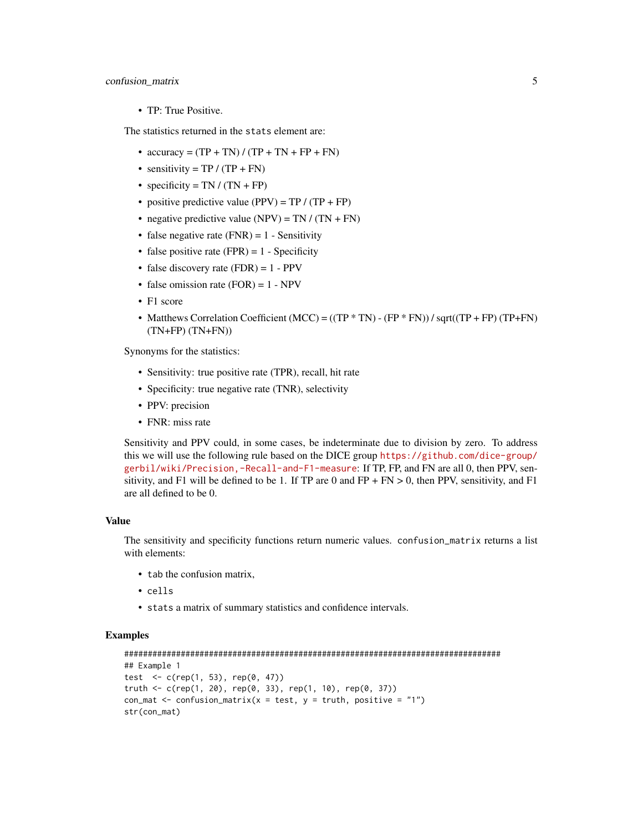# confusion\_matrix 5

• TP: True Positive.

The statistics returned in the stats element are:

- $accuracy = (TP + TN) / (TP + TN + FP + FN)$
- sensitivity =  $TP / (TP + FN)$
- specificity = TN /  $(TN + FP)$
- positive predictive value (PPV) =  $TP / (TP + FP)$
- negative predictive value (NPV) = TN /  $(TN + FN)$
- false negative rate  $(FNR) = 1$  Sensitivity
- false positive rate (FPR) =  $1$  Specificity
- false discovery rate  $(FDR) = 1 PPV$
- false omission rate  $(FOR) = 1 NPV$
- F1 score
- Matthews Correlation Coefficient (MCC) =  $((TP * TN) (FP * FN)) / sqrt((TP + FP) (TP + FN)$ (TN+FP) (TN+FN))

Synonyms for the statistics:

- Sensitivity: true positive rate (TPR), recall, hit rate
- Specificity: true negative rate (TNR), selectivity
- PPV: precision
- FNR: miss rate

Sensitivity and PPV could, in some cases, be indeterminate due to division by zero. To address this we will use the following rule based on the DICE group [https://github.com/dice-group/](https://github.com/dice-group/gerbil/wiki/Precision,-Recall-and-F1-measure) [gerbil/wiki/Precision,-Recall-and-F1-measure](https://github.com/dice-group/gerbil/wiki/Precision,-Recall-and-F1-measure): If TP, FP, and FN are all 0, then PPV, sensitivity, and F1 will be defined to be 1. If TP are 0 and  $FP + FN > 0$ , then PPV, sensitivity, and F1 are all defined to be 0.

#### Value

The sensitivity and specificity functions return numeric values. confusion\_matrix returns a list with elements:

- tab the confusion matrix,
- cells
- stats a matrix of summary statistics and confidence intervals.

```
################################################################################
## Example 1
test \leq c (rep(1, 53), rep(0, 47))
truth <- c(rep(1, 20), rep(0, 33), rep(1, 10), rep(0, 37))
con_mat <- confusion_matrix(x = test, y = truth, positive = "1")
str(con_mat)
```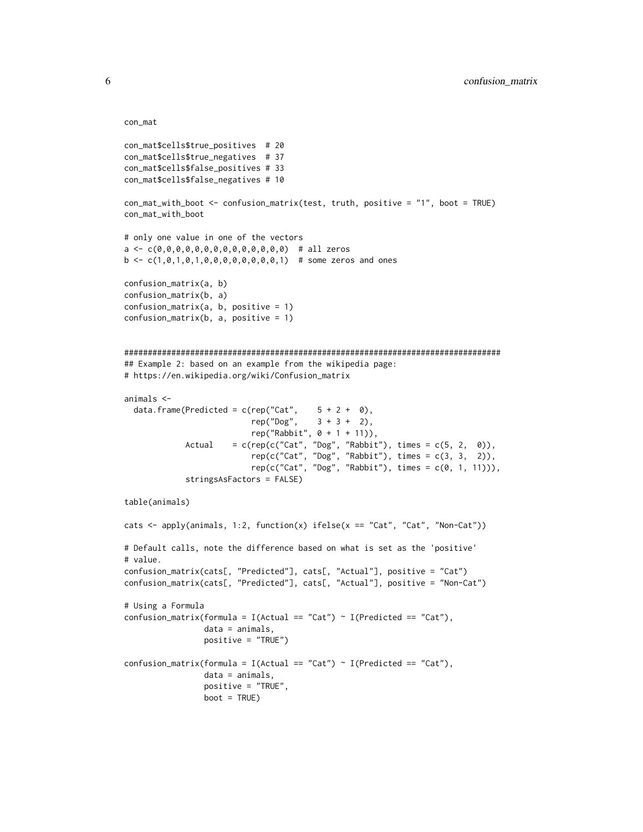```
con_mat
```

```
con_mat$cells$true_positives # 20
con_mat$cells$true_negatives # 37
con_mat$cells$false_positives # 33
con_mat$cells$false_negatives # 10
con_mat_with_boot <- confusion_matrix(test, truth, positive = "1", boot = TRUE)
con_mat_with_boot
# only one value in one of the vectors
a <- c(0,0,0,0,0,0,0,0,0,0,0,0,0,0) # all zeros
b \leq c(1, 0, 1, 0, 1, 0, 0, 0, 0, 0, 0, 0, 0, 1) # some zeros and ones
confusion_matrix(a, b)
confusion_matrix(b, a)
confusion_matrix(a, b, positive = 1)confusion_matrix(b, a, positive = 1)################################################################################
## Example 2: based on an example from the wikipedia page:
# https://en.wikipedia.org/wiki/Confusion_matrix
animals <-
  data.frame(Predicted = c(rep("Cat", 5 + 2 + 0),rep("Dog", 3 + 3 + 2),rep("Rabbit", 0 + 1 + 11)),
             Actual = c(rep(c("Cat", "Dog", "Rabbit"), times = c(5, 2, 0)),
                           rep(c("Cat", "Dog", "Rabbit"), times = c(3, 3, 2)),
                           rep(c("Cat", "Dog", "Rabbit"), times = c(0, 1, 11))),stringsAsFactors = FALSE)
table(animals)
cats \leq apply(animals, 1:2, function(x) ifelse(x == "Cat", "Cat", "Non-Cat"))
# Default calls, note the difference based on what is set as the 'positive'
# value.
confusion_matrix(cats[, "Predicted"], cats[, "Actual"], positive = "Cat")
confusion_matrix(cats[, "Predicted"], cats[, "Actual"], positive = "Non-Cat")
# Using a Formula
confusion_matrix(formula = I(Actual == "Cat") ~ I(Predicted == "Cat"),
                 data = animals,
                 positive = "TRUE")
confusion_matrix(formula = I(Actual == "Cat") ~ I(Predicted == "Cat"),
                 data = animals,
                 positive = "TRUE",
                 boot = TRUE)
```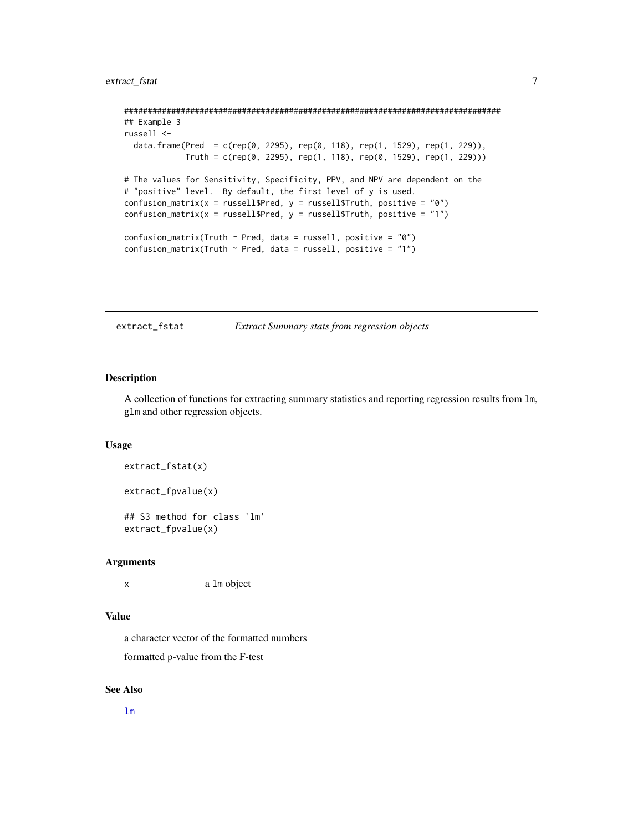```
################################################################################
## Example 3
russell <-
 data.frame(Pred = c(rep(0, 2295), rep(0, 118), rep(1, 1529), rep(1, 229)),
             Truth = c(rep(\theta, 2295), rep(1, 118), rep(\theta, 1529), rep(1, 229)))# The values for Sensitivity, Specificity, PPV, and NPV are dependent on the
# "positive" level. By default, the first level of y is used.
confusion_matrix(x = russell$Pred, y = russell$Truth, positive = "0")
confusion_matrix(x = russell$Pred, y = russell$Truth, positive = "1")
confusion_matrix(Truth \sim Pred, data = russell, positive = "0")
confusion_matrix(Truth \sim Pred, data = russell, positive = "1")
```
extract\_fstat *Extract Summary stats from regression objects*

# Description

A collection of functions for extracting summary statistics and reporting regression results from lm, glm and other regression objects.

#### Usage

```
extract_fstat(x)
```

```
extract_fpvalue(x)
```
## S3 method for class 'lm' extract\_fpvalue(x)

#### Arguments

x a lm object

# Value

a character vector of the formatted numbers

formatted p-value from the F-test

#### See Also

[lm](#page-0-0)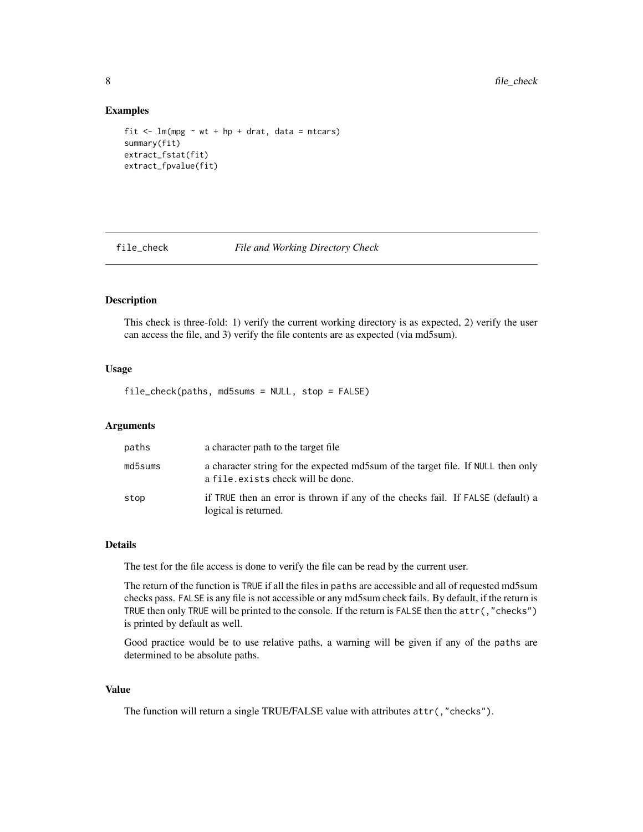#### Examples

```
fit \leftarrow lm(mpg \sim wt + hp + drat, data = mtcars)
summary(fit)
extract_fstat(fit)
extract_fpvalue(fit)
```
file\_check *File and Working Directory Check*

# Description

This check is three-fold: 1) verify the current working directory is as expected, 2) verify the user can access the file, and 3) verify the file contents are as expected (via md5sum).

# Usage

file\_check(paths, md5sums = NULL, stop = FALSE)

#### Arguments

| paths   | a character path to the target file.                                                                                   |
|---------|------------------------------------------------------------------------------------------------------------------------|
| md5sums | a character string for the expected md5sum of the target file. If NULL then only<br>a file. exists check will be done. |
| stop    | if TRUE then an error is thrown if any of the checks fail. If FALSE (default) a<br>logical is returned.                |

# Details

The test for the file access is done to verify the file can be read by the current user.

The return of the function is TRUE if all the files in paths are accessible and all of requested md5sum checks pass. FALSE is any file is not accessible or any md5sum check fails. By default, if the return is TRUE then only TRUE will be printed to the console. If the return is FALSE then the attr(,"checks") is printed by default as well.

Good practice would be to use relative paths, a warning will be given if any of the paths are determined to be absolute paths.

# Value

The function will return a single TRUE/FALSE value with attributes attr(,"checks").

<span id="page-7-0"></span>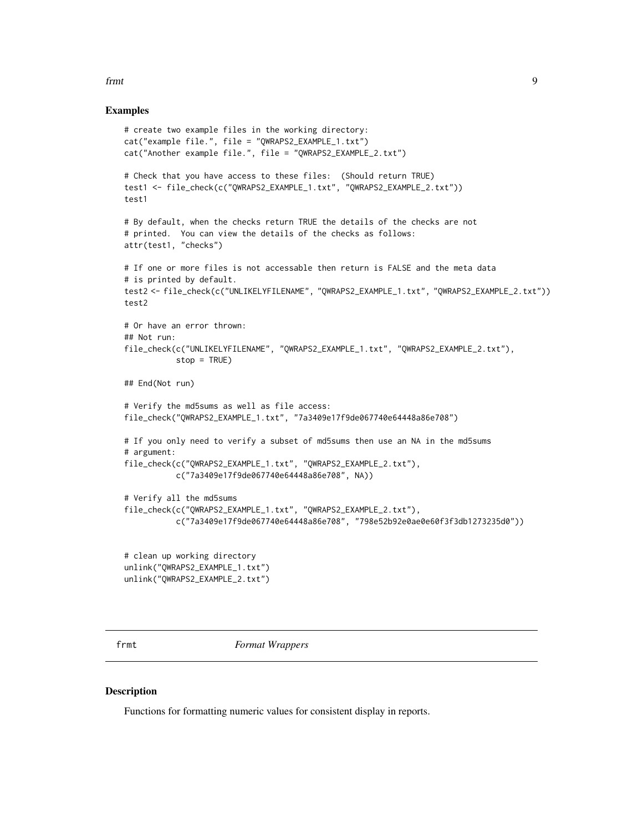#### <span id="page-8-0"></span>frmt 90 km en de staat 1990 wat de eerste koning van de staat 1990 wat de eerste koning van de staat 1990 wat de eerste koning van de eerste koning van de eerste koning van de eerste koning van de eerste koning van de eers

#### Examples

```
# create two example files in the working directory:
cat("example file.", file = "QWRAPS2_EXAMPLE_1.txt")
cat("Another example file.", file = "QWRAPS2_EXAMPLE_2.txt")
# Check that you have access to these files: (Should return TRUE)
test1 <- file_check(c("QWRAPS2_EXAMPLE_1.txt", "QWRAPS2_EXAMPLE_2.txt"))
test1
# By default, when the checks return TRUE the details of the checks are not
# printed. You can view the details of the checks as follows:
attr(test1, "checks")
# If one or more files is not accessable then return is FALSE and the meta data
# is printed by default.
test2 <- file_check(c("UNLIKELYFILENAME", "QWRAPS2_EXAMPLE_1.txt", "QWRAPS2_EXAMPLE_2.txt"))
test2
# Or have an error thrown:
## Not run:
file_check(c("UNLIKELYFILENAME", "QWRAPS2_EXAMPLE_1.txt", "QWRAPS2_EXAMPLE_2.txt"),
           stop = TRUE)
## End(Not run)
# Verify the md5sums as well as file access:
file_check("QWRAPS2_EXAMPLE_1.txt", "7a3409e17f9de067740e64448a86e708")
# If you only need to verify a subset of md5sums then use an NA in the md5sums
# argument:
file_check(c("QWRAPS2_EXAMPLE_1.txt", "QWRAPS2_EXAMPLE_2.txt"),
           c("7a3409e17f9de067740e64448a86e708", NA))
# Verify all the md5sums
file_check(c("QWRAPS2_EXAMPLE_1.txt", "QWRAPS2_EXAMPLE_2.txt"),
           c("7a3409e17f9de067740e64448a86e708", "798e52b92e0ae0e60f3f3db1273235d0"))
# clean up working directory
unlink("QWRAPS2_EXAMPLE_1.txt")
unlink("QWRAPS2_EXAMPLE_2.txt")
```
frmt *Format Wrappers*

#### <span id="page-8-1"></span>Description

Functions for formatting numeric values for consistent display in reports.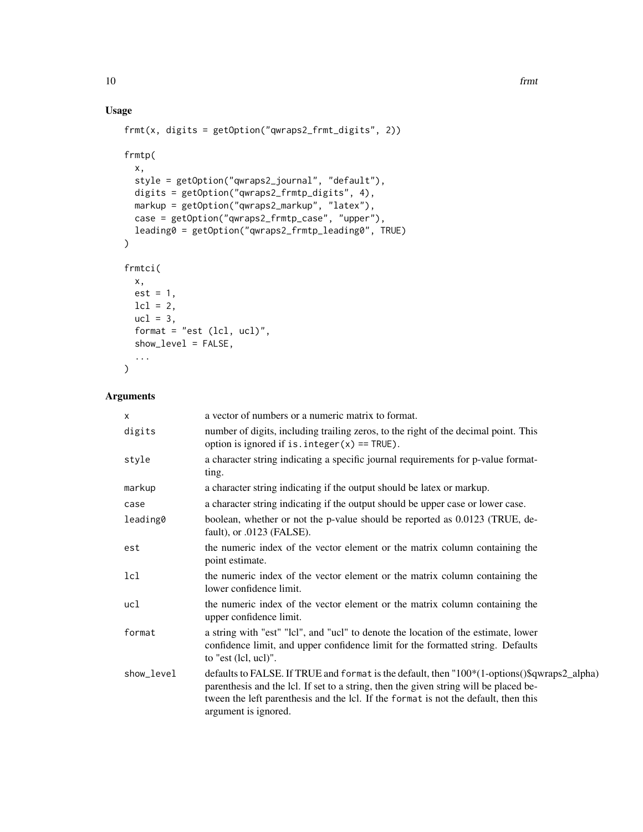# Usage

```
frmt(x, digits = getOption("qwraps2_frmt_digits", 2))
frmtp(
 x,
  style = getOption("qwraps2_journal", "default"),
 digits = getOption("qwraps2_frmtp_digits", 4),
 markup = getOption("qwraps2_markup", "latex"),
 case = getOption("qwraps2_frmtp_case", "upper"),
 leading0 = getOption("qwraps2_frmtp_leading0", TRUE)
\mathcal{L}frmtci(
 x,
 est = 1,
 lcl = 2,ucl = 3,
 format = "est (lcl, ucl)",
  show_level = FALSE,
  ...
)
```
# Arguments

| X          | a vector of numbers or a numeric matrix to format.                                                                                                                                                                                                                                                   |
|------------|------------------------------------------------------------------------------------------------------------------------------------------------------------------------------------------------------------------------------------------------------------------------------------------------------|
| digits     | number of digits, including trailing zeros, to the right of the decimal point. This<br>option is ignored if is. $integer(x) == TRUE$ .                                                                                                                                                               |
| style      | a character string indicating a specific journal requirements for p-value format-<br>ting.                                                                                                                                                                                                           |
| markup     | a character string indicating if the output should be latex or markup.                                                                                                                                                                                                                               |
| case       | a character string indicating if the output should be upper case or lower case.                                                                                                                                                                                                                      |
| leading0   | boolean, whether or not the p-value should be reported as 0.0123 (TRUE, de-<br>fault), or $.0123$ (FALSE).                                                                                                                                                                                           |
| est        | the numeric index of the vector element or the matrix column containing the<br>point estimate.                                                                                                                                                                                                       |
| 1c1        | the numeric index of the vector element or the matrix column containing the<br>lower confidence limit.                                                                                                                                                                                               |
| ucl        | the numeric index of the vector element or the matrix column containing the<br>upper confidence limit.                                                                                                                                                                                               |
| format     | a string with "est" "lcl", and "ucl" to denote the location of the estimate, lower<br>confidence limit, and upper confidence limit for the formatted string. Defaults<br>to "est (lcl, ucl)".                                                                                                        |
| show_level | defaults to FALSE. If TRUE and format is the default, then "100*(1-options()\$qwraps2_alpha)<br>parenthesis and the lcl. If set to a string, then the given string will be placed be-<br>tween the left parenthesis and the lcl. If the format is not the default, then this<br>argument is ignored. |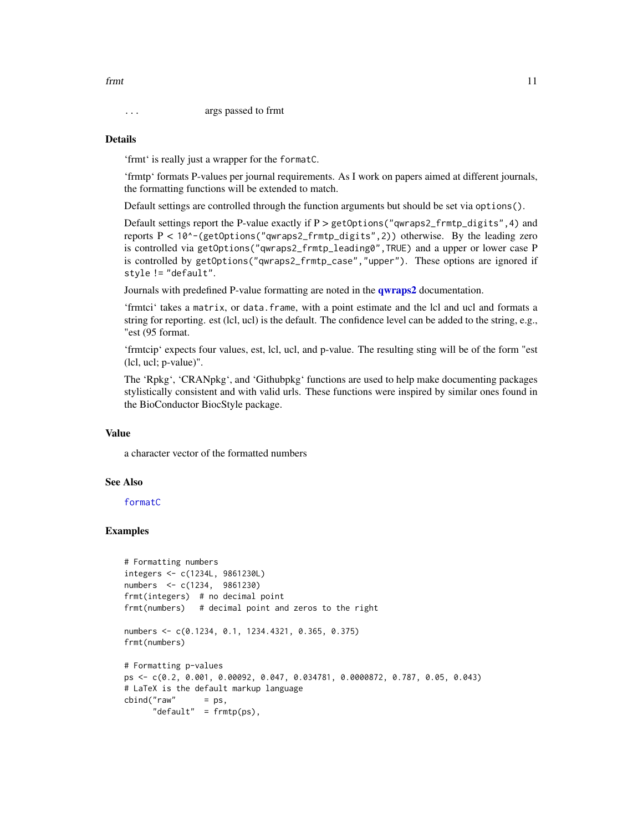#### Details

'frmt' is really just a wrapper for the formatC.

'frmtp' formats P-values per journal requirements. As I work on papers aimed at different journals, the formatting functions will be extended to match.

Default settings are controlled through the function arguments but should be set via options().

Default settings report the P-value exactly if  $P > getOptions('qwraps2-frmtp_digits'', 4)$  and reports P < 10^-(getOptions("qwraps2\_frmtp\_digits",2)) otherwise. By the leading zero is controlled via getOptions("qwraps2\_frmtp\_leading0",TRUE) and a upper or lower case P is controlled by getOptions("qwraps2\_frmtp\_case","upper"). These options are ignored if style != "default".

Journals with predefined P-value formatting are noted in the **[qwraps2](#page-32-1)** documentation.

'frmtci' takes a matrix, or data.frame, with a point estimate and the lcl and ucl and formats a string for reporting. est (lcl, ucl) is the default. The confidence level can be added to the string, e.g., "est (95 format.

'frmtcip' expects four values, est, lcl, ucl, and p-value. The resulting sting will be of the form "est (lcl, ucl; p-value)".

The 'Rpkg', 'CRANpkg', and 'Githubpkg' functions are used to help make documenting packages stylistically consistent and with valid urls. These functions were inspired by similar ones found in the BioConductor BiocStyle package.

### Value

a character vector of the formatted numbers

#### See Also

[formatC](#page-0-0)

# Examples

```
# Formatting numbers
integers <- c(1234L, 9861230L)
numbers <- c(1234, 9861230)
frmt(integers) # no decimal point
frmt(numbers) # decimal point and zeros to the right
numbers <- c(0.1234, 0.1, 1234.4321, 0.365, 0.375)
frmt(numbers)
# Formatting p-values
ps <- c(0.2, 0.001, 0.00092, 0.047, 0.034781, 0.0000872, 0.787, 0.05, 0.043)
# LaTeX is the default markup language
cbind("raw" = ps,"default" = frm(ps),
```
<span id="page-10-0"></span>frmt 11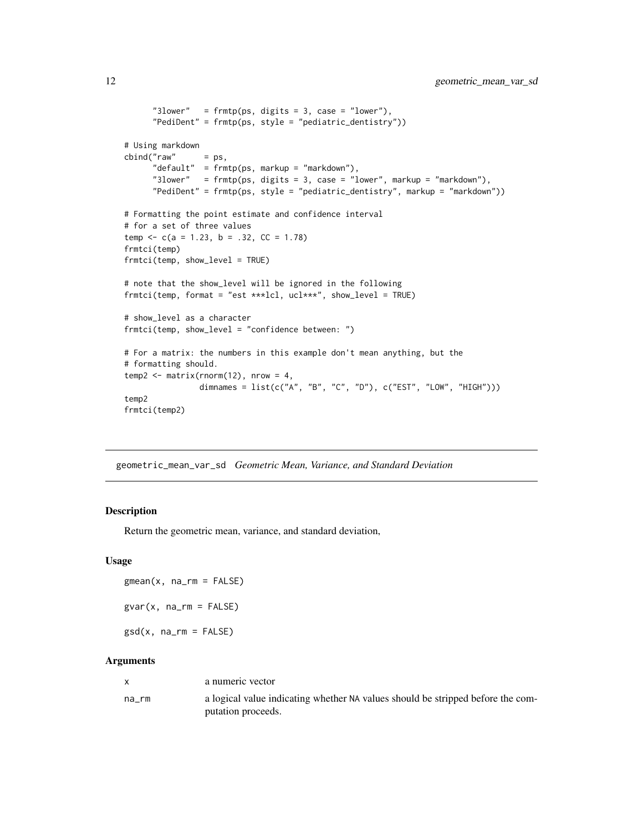```
"3lower" = frm(ps, digits = 3, case = "lower"),"PediDent" = frmtp(ps, style = "pediatric_dentistry"))
# Using markdown
cbind("raw" = ps,"default" = frmtp(ps, markup = "markdown"),
     "3lower" = frmtp(ps, digits = 3, case = "lower", markup = "markdown"),
      "PediDent" = frmtp(ps, style = "pediatric_dentistry", markup = "markdown"))
# Formatting the point estimate and confidence interval
# for a set of three values
temp <-c(a = 1.23, b = .32, CC = 1.78)frmtci(temp)
frmtci(temp, show_level = TRUE)
# note that the show_level will be ignored in the following
frmtci(temp, format = "est ***lcl, ucl***", show_level = TRUE)
# show_level as a character
frmtci(temp, show_level = "confidence between: ")
# For a matrix: the numbers in this example don't mean anything, but the
# formatting should.
temp2 \leq -matrix(rnorm(12), nrow = 4,dimnames = list(c("A", "B", "C", "D"), c("EST", "LOW", "HIGH")))
temp2
frmtci(temp2)
```
geometric\_mean\_var\_sd *Geometric Mean, Variance, and Standard Deviation*

#### Description

Return the geometric mean, variance, and standard deviation,

#### Usage

 $g$ mean $(x, na_r m = FALSE)$  $gvar(x, na_rm = FALSE)$ 

 $gsd(x, na_rm = FALSE)$ 

#### Arguments

|       | a numeric vector                                                                                      |
|-------|-------------------------------------------------------------------------------------------------------|
| na rm | a logical value indicating whether NA values should be stripped before the com-<br>putation proceeds. |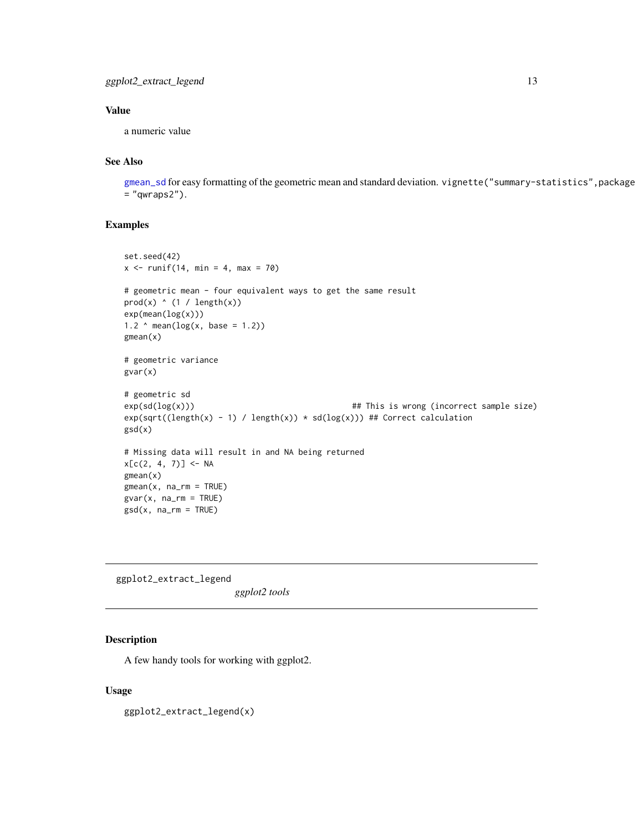# <span id="page-12-0"></span>Value

a numeric value

# See Also

[gmean\\_sd](#page-19-1) for easy formatting of the geometric mean and standard deviation. vignette("summary-statistics",package  $=$  "qwraps2").

# Examples

```
set.seed(42)
x \le runif(14, min = 4, max = 70)
# geometric mean - four equivalent ways to get the same result
prod(x) (1 / length(x))
exp(mean(log(x)))1.2 \land mean(log(x, base = 1.2))
gmean(x)
# geometric variance
gvar(x)
# geometric sd
exp(sd(log(x))) ## This is wrong (incorrect sample size)
exp(sqrt((length(x) - 1) / length(x)) * sd(log(x)))## Correct calculation
gsd(x)
# Missing data will result in and NA being returned
x[c(2, 4, 7)] <- NA
gmean(x)
gmean(x, na_rm = TRUE)gvar(x, na_rm = TRUE)gsd(x, na_rm = TRUE)
```
ggplot2\_extract\_legend *ggplot2 tools*

# Description

A few handy tools for working with ggplot2.

#### Usage

ggplot2\_extract\_legend(x)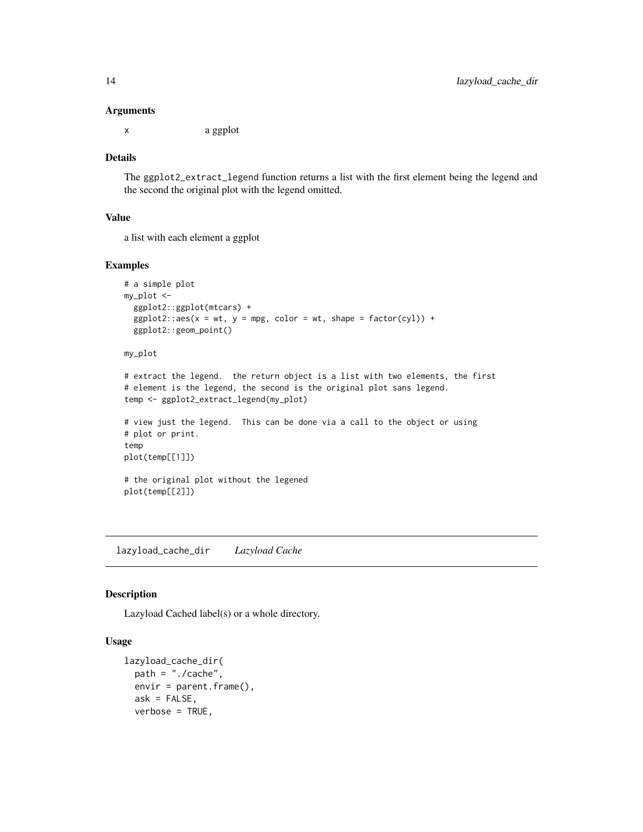#### Arguments

x a ggplot

#### Details

The ggplot2\_extract\_legend function returns a list with the first element being the legend and the second the original plot with the legend omitted.

#### Value

a list with each element a ggplot

#### Examples

```
# a simple plot
my_plot <-
  ggplot2::ggplot(mtcars) +
  ggplot2::aes(x = wt, y = mpg, color = wt, shape = factor(cyl)) +ggplot2::geom_point()
```
# my\_plot

```
# extract the legend. the return object is a list with two elements, the first
# element is the legend, the second is the original plot sans legend.
temp <- ggplot2_extract_legend(my_plot)
```

```
# view just the legend. This can be done via a call to the object or using
# plot or print.
temp
plot(temp[[1]])
```
# the original plot without the legened plot(temp[[2]])

lazyload\_cache\_dir *Lazyload Cache*

#### Description

Lazyload Cached label(s) or a whole directory.

# Usage

```
lazyload_cache_dir(
 path = "./cache",
 envir = parent.frame(),
  ask = FALSE,verbose = TRUE,
```
<span id="page-13-0"></span>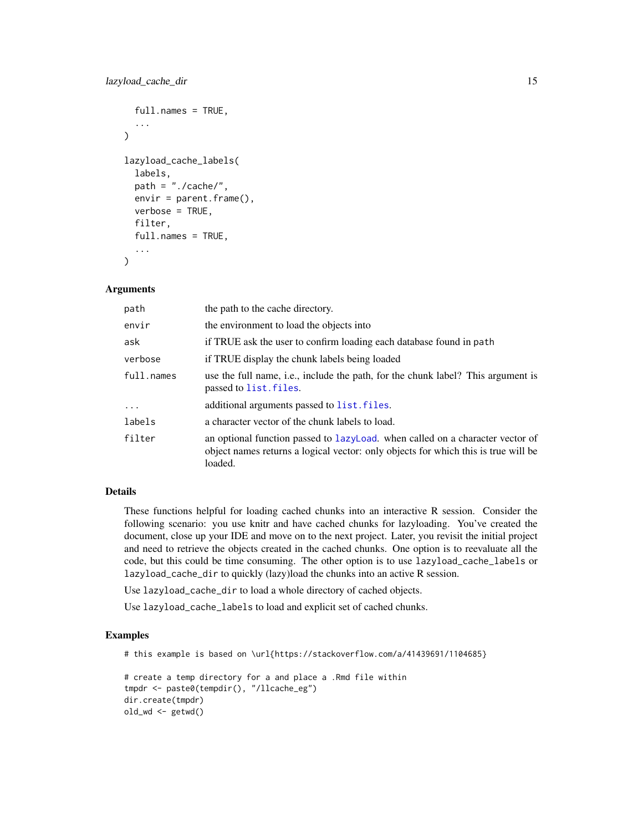```
full.names = TRUE,
  ...
\lambdalazyload_cache_labels(
  labels,
 path = "./cache/",
 envir = parent.frame(),verbose = TRUE,
  filter,
  full.names = TRUE,
  ...
)
```
# Arguments

| path       | the path to the cache directory.                                                                                                                                               |
|------------|--------------------------------------------------------------------------------------------------------------------------------------------------------------------------------|
| envir      | the environment to load the objects into                                                                                                                                       |
| ask        | if TRUE ask the user to confirm loading each database found in path                                                                                                            |
| verbose    | if TRUE display the chunk labels being loaded                                                                                                                                  |
| full.names | use the full name, i.e., include the path, for the chunk label? This argument is<br>passed to list. files.                                                                     |
| $\ddots$   | additional arguments passed to list. files.                                                                                                                                    |
| labels     | a character vector of the chunk labels to load.                                                                                                                                |
| filter     | an optional function passed to lazyLoad, when called on a character vector of<br>object names returns a logical vector: only objects for which this is true will be<br>loaded. |

# Details

These functions helpful for loading cached chunks into an interactive R session. Consider the following scenario: you use knitr and have cached chunks for lazyloading. You've created the document, close up your IDE and move on to the next project. Later, you revisit the initial project and need to retrieve the objects created in the cached chunks. One option is to reevaluate all the code, but this could be time consuming. The other option is to use lazyload\_cache\_labels or lazyload\_cache\_dir to quickly (lazy)load the chunks into an active R session.

Use lazyload\_cache\_dir to load a whole directory of cached objects.

Use lazyload\_cache\_labels to load and explicit set of cached chunks.

```
# this example is based on \url{https://stackoverflow.com/a/41439691/1104685}
```

```
# create a temp directory for a and place a .Rmd file within
tmpdr <- paste0(tempdir(), "/llcache_eg")
dir.create(tmpdr)
old_wd <- getwd()
```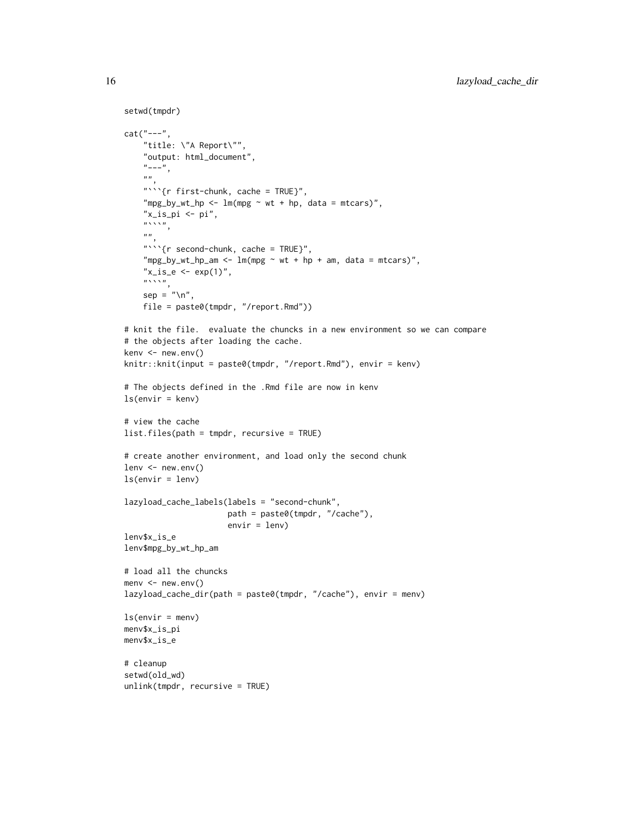```
setwd(tmpdr)
cat("---",
    "title: \"A Report\"",
    "output: html_document",
    "---",
    "",
    "```{r first-chunk, cache = TRUE}",
    "mpg_by_wt_hp <- lm(mpg \sim wt + hp, data = mtcars)",
    "x_is_p i \leftarrow pi",
    \sum_{n=-\infty}^{\infty}\boldsymbol{m}"```{r second-chunk, cache = TRUE}",
    "mpg_by_wt_hp_an <- ln(mpg ~ wt + hp + am, data = mtars)","x_is_e \leftarrow exp(1)","",
    sep = "\\ n",file = paste0(tmpdr, "/report.Rmd"))
# knit the file. evaluate the chuncks in a new environment so we can compare
# the objects after loading the cache.
kenv <- new.env()
knitr::knit(input = paste0(tmpdr, "/report.Rmd"), envir = kenv)
# The objects defined in the .Rmd file are now in kenv
ls(envir = kenv)
# view the cache
list.files(path = tmpdr, recursive = TRUE)
# create another environment, and load only the second chunk
lenv <- new.env()
ls(envir = lenv)lazyload_cache_labels(labels = "second-chunk",
                      path = paste0(tmpdr, "/cache"),
                      envir = lenv)
lenv$x_is_e
lenv$mpg_by_wt_hp_am
# load all the chuncks
menv <- new.env()
lazyload_cache_dir(path = paste0(tmpdr, "/cache"), envir = menv)
ls(envir = menu)menv$x_is_pi
menv$x_is_e
# cleanup
setwd(old_wd)
unlink(tmpdr, recursive = TRUE)
```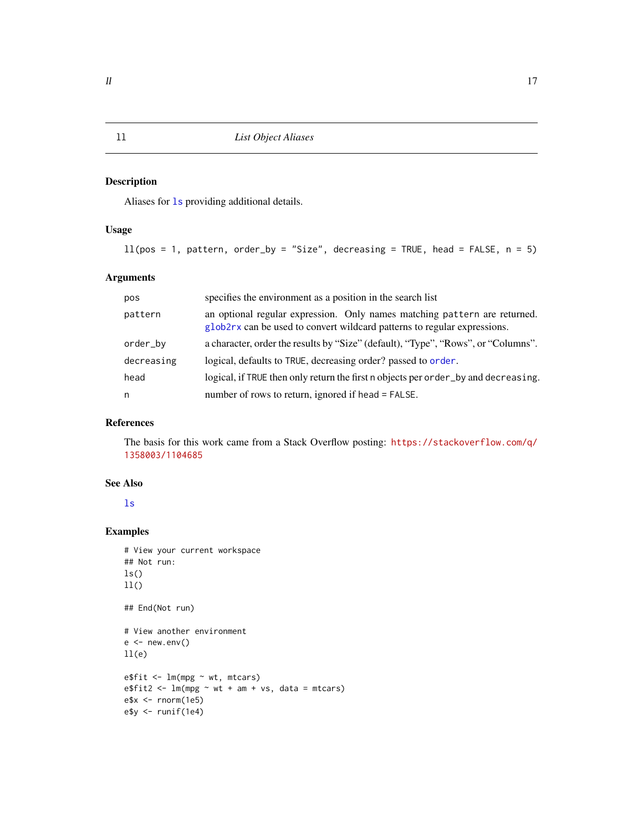# <span id="page-16-0"></span>Description

Aliases for [ls](#page-0-0) providing additional details.

# Usage

```
ll(pos = 1, pattern, order_by = "Size", decreasing = TRUE, head = FALSE, n = 5)
```
# Arguments

| pos        | specifies the environment as a position in the search list                                                                                            |
|------------|-------------------------------------------------------------------------------------------------------------------------------------------------------|
| pattern    | an optional regular expression. Only names matching pattern are returned.<br>glob2rx can be used to convert wildcard patterns to regular expressions. |
| order_by   | a character, order the results by "Size" (default), "Type", "Rows", or "Columns".                                                                     |
| decreasing | logical, defaults to TRUE, decreasing order? passed to order.                                                                                         |
| head       | logical, if TRUE then only return the first n objects per order_by and decreasing.                                                                    |
| n          | number of rows to return, ignored if head = FALSE.                                                                                                    |

# References

The basis for this work came from a Stack Overflow posting: [https://stackoverflow.com/q/](https://stackoverflow.com/q/1358003/1104685) [1358003/1104685](https://stackoverflow.com/q/1358003/1104685)

# See Also

[ls](#page-0-0)

```
# View your current workspace
## Not run:
ls()11()## End(Not run)
# View another environment
e < - new.env()
11(e)e$fit <- lm(mpg ~ wt, mtcars)
e$fit2 <- lm(mpg \sim wt + am + vs, data = mtcars)e$x <- rnorm(1e5)e$y <- runif(1e4)
```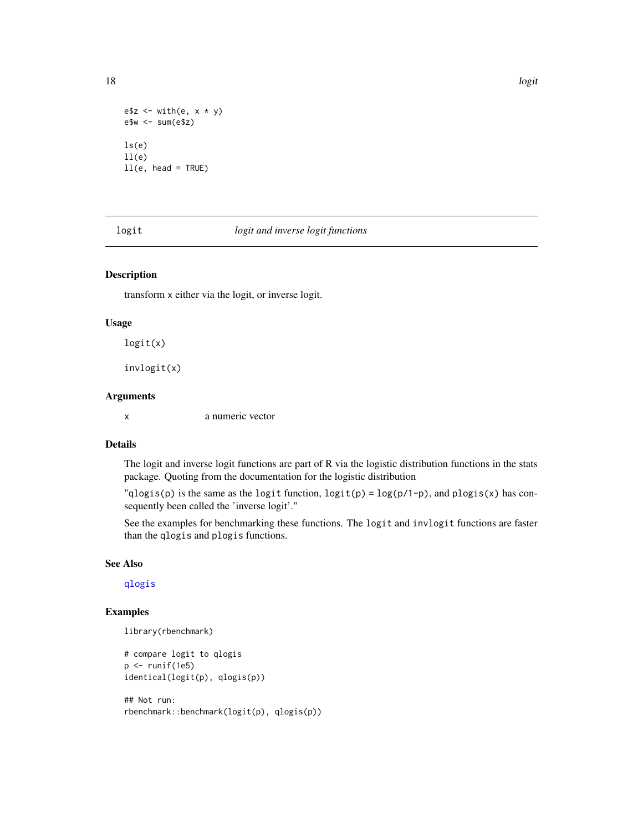```
e$z <- with(e, x * y)
e$w <- sum(e$z)
```
 $ls(e)$  $11(e)$ ll(e, head = TRUE)

# logit *logit and inverse logit functions*

#### Description

transform x either via the logit, or inverse logit.

#### Usage

logit(x)

invlogit(x)

#### Arguments

x a numeric vector

#### Details

The logit and inverse logit functions are part of R via the logistic distribution functions in the stats package. Quoting from the documentation for the logistic distribution

" $qlogis(p)$  is the same as the logit function,  $logit(p) = log(p/1-p)$ , and  $plogis(x)$  has consequently been called the 'inverse logit'."

See the examples for benchmarking these functions. The logit and invlogit functions are faster than the qlogis and plogis functions.

# See Also

[qlogis](#page-0-0)

# Examples

```
library(rbenchmark)
```

```
# compare logit to qlogis
p \leftarrow runif(1e5)identical(logit(p), qlogis(p))
```

```
## Not run:
rbenchmark::benchmark(logit(p), qlogis(p))
```
<span id="page-17-0"></span>18 logit logitude to the control of the control of the control of the control of the control of the control of the control of the control of the control of the control of the control of the control of the control of the co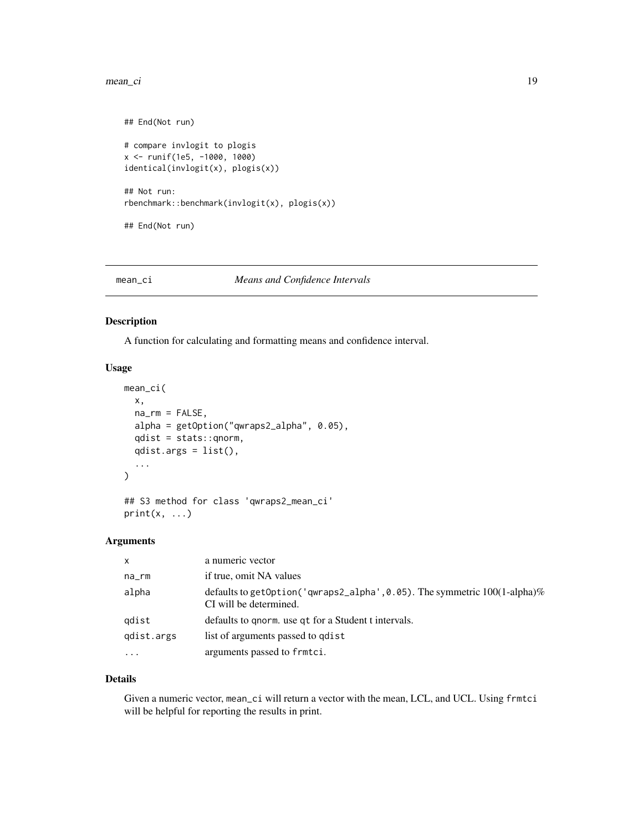#### <span id="page-18-0"></span>mean\_ci 19

```
## End(Not run)
# compare invlogit to plogis
x <- runif(1e5, -1000, 1000)
identical(invlogit(x), plogis(x))
## Not run:
rbenchmark::benchmark(invlogit(x), plogis(x))
## End(Not run)
```
#### mean\_ci *Means and Confidence Intervals*

#### Description

A function for calculating and formatting means and confidence interval.

### Usage

```
mean_ci(
 x,
  na\_rm = FALSE,alpha = getOption("qwraps2_alpha", 0.05),
  qdist = stats::qnorm,
  qdist.args = list(),
  ...
\mathcal{L}## S3 method for class 'qwraps2_mean_ci'
print(x, \ldots)
```
# Arguments

| $\mathsf{x}$ | a numeric vector                                                                                              |
|--------------|---------------------------------------------------------------------------------------------------------------|
| na_rm        | if true, omit NA values                                                                                       |
| alpha        | defaults to getOption('qwraps2_alpha', 0.05). The symmetric $100(1\text{-alpha})\%$<br>CI will be determined. |
| qdist        | defaults to gnorm, use gt for a Student t intervals.                                                          |
| gdist.args   | list of arguments passed to got is t                                                                          |
| $\cdots$     | arguments passed to frmtci.                                                                                   |

#### Details

Given a numeric vector, mean\_ci will return a vector with the mean, LCL, and UCL. Using frmtci will be helpful for reporting the results in print.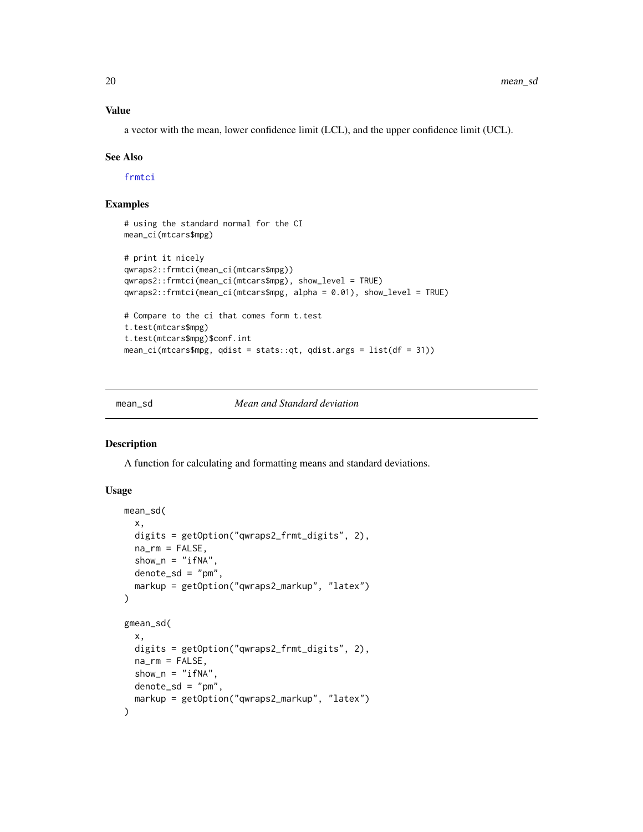# <span id="page-19-0"></span>Value

a vector with the mean, lower confidence limit (LCL), and the upper confidence limit (UCL).

#### See Also

[frmtci](#page-8-1)

# Examples

```
# using the standard normal for the CI
mean_ci(mtcars$mpg)
# print it nicely
qwraps2::frmtci(mean_ci(mtcars$mpg))
qwraps2::frmtci(mean_ci(mtcars$mpg), show_level = TRUE)
qwraps2::frmtci(mean_ci(mtcars$mpg, alpha = 0.01), show_level = TRUE)
# Compare to the ci that comes form t.test
t.test(mtcars$mpg)
t.test(mtcars$mpg)$conf.int
mean_ci(mtcars$mpg, qdist = stats::qt, qdist.args = list(df = 31))
```
mean\_sd *Mean and Standard deviation*

#### <span id="page-19-1"></span>Description

A function for calculating and formatting means and standard deviations.

#### Usage

```
mean_sd(
  x,
  digits = getOption("qwraps2_frmt_digits", 2),
  na\_rm = FALSE,show_n = "ifNA"denote_s d = "pm",markup = getOption("qwraps2_markup", "latex")
)
gmean_sd(
  x,
  digits = getOption("qwraps2_frmt_digits", 2),
  na\_rm = FALSE,show_n = "ifNA",
  denote\_sd = "pm",markup = getOption("qwraps2_markup", "latex")
)
```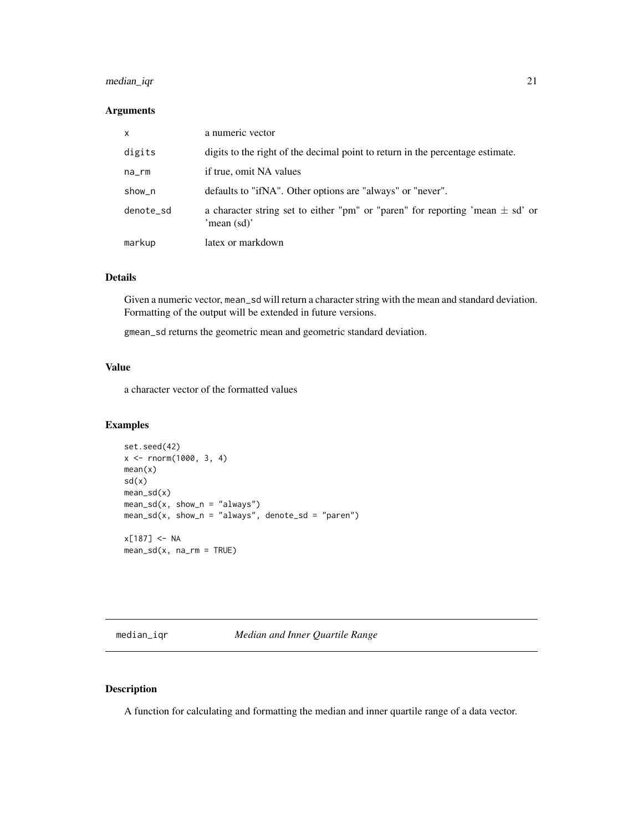# <span id="page-20-0"></span>median\_iqr 21

# Arguments

| $\mathsf{x}$ | a numeric vector                                                                                 |
|--------------|--------------------------------------------------------------------------------------------------|
| digits       | digits to the right of the decimal point to return in the percentage estimate.                   |
| na_rm        | if true, omit NA values                                                                          |
| show_n       | defaults to "ifNA". Other options are "always" or "never".                                       |
| denote_sd    | a character string set to either "pm" or "paren" for reporting 'mean $\pm$ sd' or<br>'mean (sd)' |
| markup       | latex or markdown                                                                                |

### Details

Given a numeric vector, mean\_sd will return a character string with the mean and standard deviation. Formatting of the output will be extended in future versions.

gmean\_sd returns the geometric mean and geometric standard deviation.

# Value

a character vector of the formatted values

# Examples

```
set.seed(42)
x \le - rnorm(1000, 3, 4)
mean(x)
sd(x)mean_sd(x)
mean_s d(x, show_n = "always")mean_s d(x, show_n = "always", denote_s d = "parent")x[187] < - NA
mean_s d(x, na_r m = TRUE)
```
median\_iqr *Median and Inner Quartile Range*

#### Description

A function for calculating and formatting the median and inner quartile range of a data vector.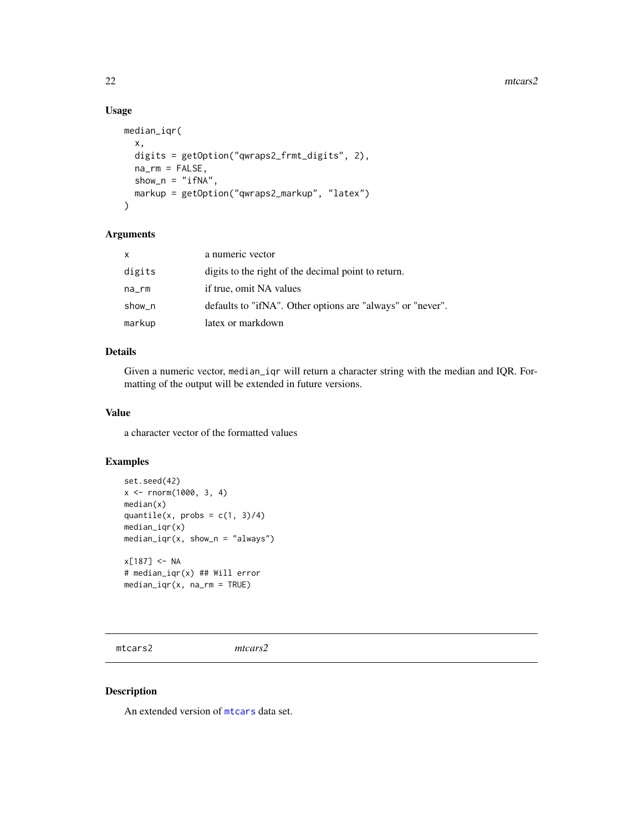#### 22 mtcars2

# Usage

```
median_iqr(
  x,
 digits = getOption("qwraps2_frmt_digits", 2),
 na\_rm = FALSE,show_n = "ifNA",markup = getOption("qwraps2_markup", "latex")
)
```
# Arguments

| X      | a numeric vector                                           |
|--------|------------------------------------------------------------|
| digits | digits to the right of the decimal point to return.        |
| na_rm  | if true, omit NA values                                    |
| show_n | defaults to "ifNA". Other options are "always" or "never". |
| markup | latex or markdown                                          |

# Details

Given a numeric vector, median\_iqr will return a character string with the median and IQR. Formatting of the output will be extended in future versions.

# Value

a character vector of the formatted values

# Examples

```
set.seed(42)
x \le - rnorm(1000, 3, 4)
median(x)
quantile(x, probs = c(1, 3)/4)
median_iqr(x)
median_iqr(x, show_n = "always")x[187] < -NA# median_iqr(x) ## Will error
median_iqr(x, na_rm = TRUE)
```
mtcars2 *mtcars2*

#### Description

An extended version of [mtcars](#page-0-0) data set.

<span id="page-21-0"></span>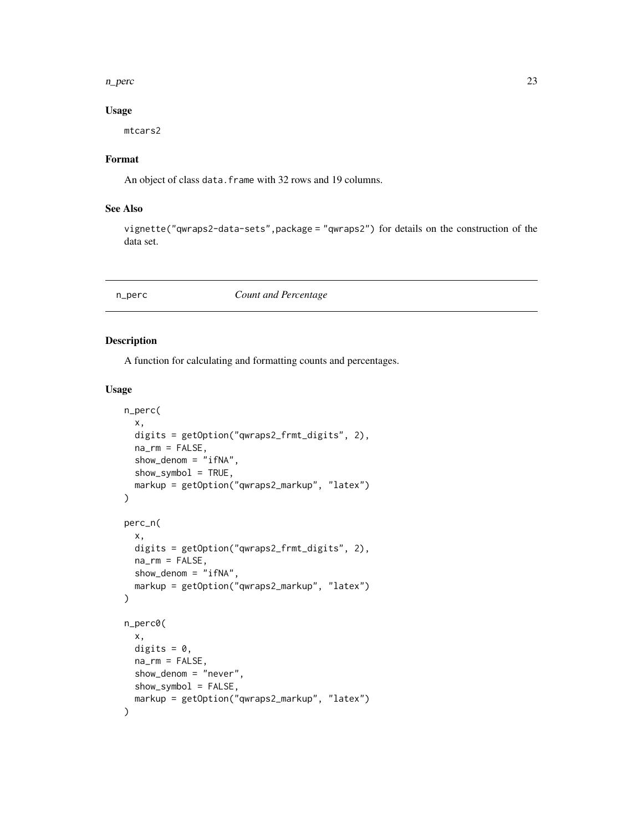#### <span id="page-22-0"></span>n\_perc 23

# Usage

mtcars2

# Format

An object of class data. frame with 32 rows and 19 columns.

# See Also

vignette("qwraps2-data-sets",package = "qwraps2") for details on the construction of the data set.

# <span id="page-22-1"></span>n\_perc *Count and Percentage*

# Description

A function for calculating and formatting counts and percentages.

#### Usage

```
n_perc(
  x,
  digits = getOption("qwraps2_frmt_digits", 2),
 na_rm = FALSE,
  show_denom = "ifNA",
  show_symbol = TRUE,
  markup = getOption("qwraps2_markup", "latex")
)
perc_n(
  x,
  digits = getOption("qwraps2_frmt_digits", 2),
 na_rm = FALSE,
 show_denom = "ifNA",
 markup = getOption("qwraps2_markup", "latex")
)
n_perc0(
  x,
  digits = 0,
 na_rm = FALSE,
  show_denom = "never",
  show_symbol = FALSE,
  markup = getOption("qwraps2_markup", "latex")
)
```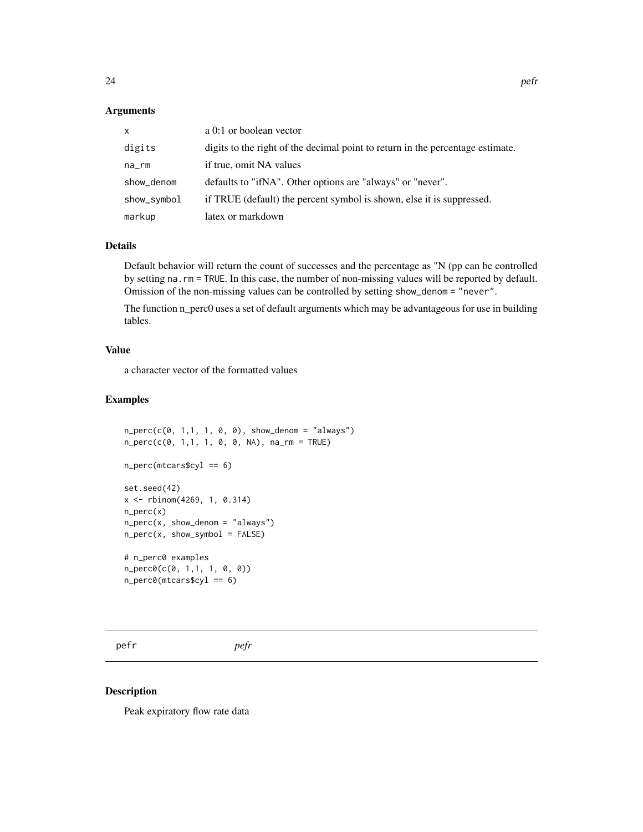# <span id="page-23-0"></span>Arguments

| X.          | a 0:1 or boolean vector                                                        |
|-------------|--------------------------------------------------------------------------------|
| digits      | digits to the right of the decimal point to return in the percentage estimate. |
| na_rm       | if true, omit NA values                                                        |
| show_denom  | defaults to "ifNA". Other options are "always" or "never".                     |
| show_symbol | if TRUE (default) the percent symbol is shown, else it is suppressed.          |
| markup      | latex or markdown                                                              |

#### Details

Default behavior will return the count of successes and the percentage as "N (pp can be controlled by setting na.rm = TRUE. In this case, the number of non-missing values will be reported by default. Omission of the non-missing values can be controlled by setting show\_denom = "never".

The function n\_perc0 uses a set of default arguments which may be advantageous for use in building tables.

# Value

a character vector of the formatted values

# Examples

```
n\_perc(c(\emptyset, 1,1, 1, 0, 0), show\_denom = "always")n_perc(c(0, 1,1, 1, 0, 0, NA), na_rm = TRUE)
n_perc(mtcars$cyl == 6)
set.seed(42)
x <- rbinom(4269, 1, 0.314)
n_perc(x)
n\_perc(x, show\_denom = "always")n\_perc(x, show\_symbol = FALSE)# n_perc0 examples
n_perc0(c(0, 1,1, 1, 0, 0))
n\_perc@(mtcars$cyl == 6)
```
pefr *pefr*

#### Description

Peak expiratory flow rate data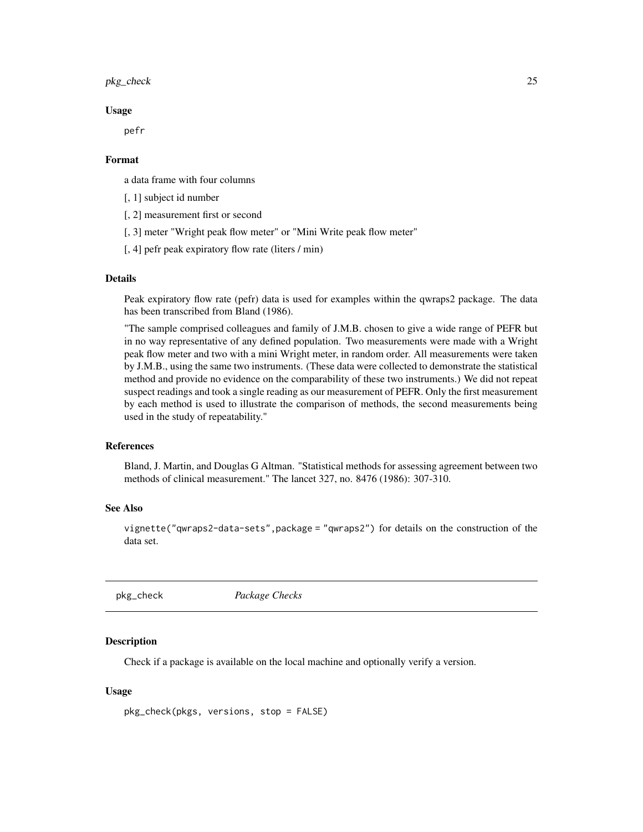#### <span id="page-24-0"></span>pkg\_check 25

#### Usage

pefr

### Format

a data frame with four columns

[, 1] subject id number

[, 2] measurement first or second

[, 3] meter "Wright peak flow meter" or "Mini Write peak flow meter"

[, 4] pefr peak expiratory flow rate (liters / min)

# Details

Peak expiratory flow rate (pefr) data is used for examples within the qwraps2 package. The data has been transcribed from Bland (1986).

"The sample comprised colleagues and family of J.M.B. chosen to give a wide range of PEFR but in no way representative of any defined population. Two measurements were made with a Wright peak flow meter and two with a mini Wright meter, in random order. All measurements were taken by J.M.B., using the same two instruments. (These data were collected to demonstrate the statistical method and provide no evidence on the comparability of these two instruments.) We did not repeat suspect readings and took a single reading as our measurement of PEFR. Only the first measurement by each method is used to illustrate the comparison of methods, the second measurements being used in the study of repeatability."

#### References

Bland, J. Martin, and Douglas G Altman. "Statistical methods for assessing agreement between two methods of clinical measurement." The lancet 327, no. 8476 (1986): 307-310.

# See Also

vignette("qwraps2-data-sets",package = "qwraps2") for details on the construction of the data set.

pkg\_check *Package Checks*

#### Description

Check if a package is available on the local machine and optionally verify a version.

### Usage

pkg\_check(pkgs, versions, stop = FALSE)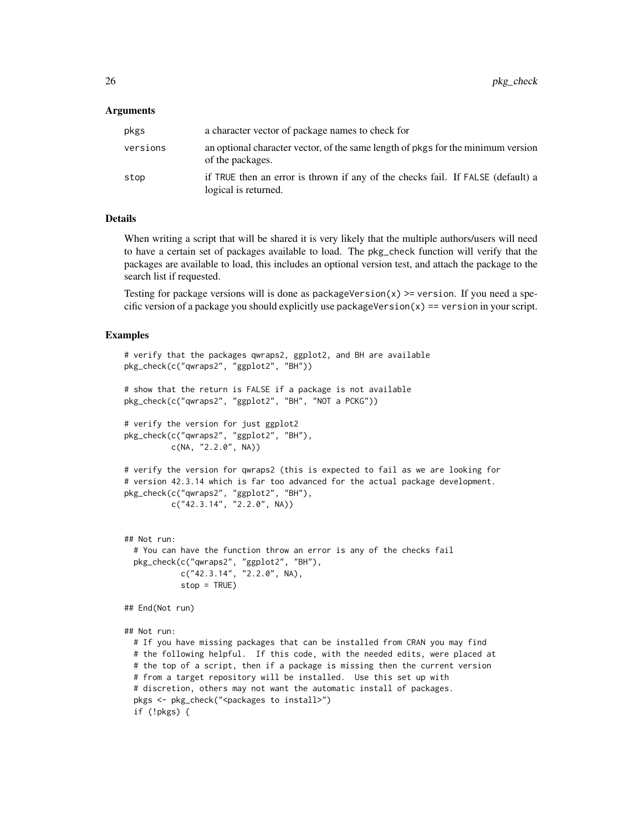#### Arguments

| pkgs     | a character vector of package names to check for                                                        |
|----------|---------------------------------------------------------------------------------------------------------|
| versions | an optional character vector, of the same length of pkgs for the minimum version<br>of the packages.    |
| stop     | if TRUE then an error is thrown if any of the checks fail. If FALSE (default) a<br>logical is returned. |

#### Details

When writing a script that will be shared it is very likely that the multiple authors/users will need to have a certain set of packages available to load. The pkg\_check function will verify that the packages are available to load, this includes an optional version test, and attach the package to the search list if requested.

Testing for package versions will is done as packageVersion $(x)$  >= version. If you need a specific version of a package you should explicitly use packageVersion $(x)$  == version in your script.

```
# verify that the packages qwraps2, ggplot2, and BH are available
pkg_check(c("qwraps2", "ggplot2", "BH"))
# show that the return is FALSE if a package is not available
pkg_check(c("qwraps2", "ggplot2", "BH", "NOT a PCKG"))
# verify the version for just ggplot2
pkg_check(c("qwraps2", "ggplot2", "BH"),
         c(NA, "2.2.0", NA))
# verify the version for qwraps2 (this is expected to fail as we are looking for
# version 42.3.14 which is far too advanced for the actual package development.
pkg_check(c("qwraps2", "ggplot2", "BH"),
          c("42.3.14", "2.2.0", NA))
## Not run:
 # You can have the function throw an error is any of the checks fail
 pkg_check(c("qwraps2", "ggplot2", "BH"),
            c("42.3.14", "2.2.0", NA),
            stop = TRUE)
## End(Not run)
## Not run:
 # If you have missing packages that can be installed from CRAN you may find
 # the following helpful. If this code, with the needed edits, were placed at
 # the top of a script, then if a package is missing then the current version
 # from a target repository will be installed. Use this set up with
 # discretion, others may not want the automatic install of packages.
 pkgs <- pkg_check("<packages to install>")
 if (!pkgs) {
```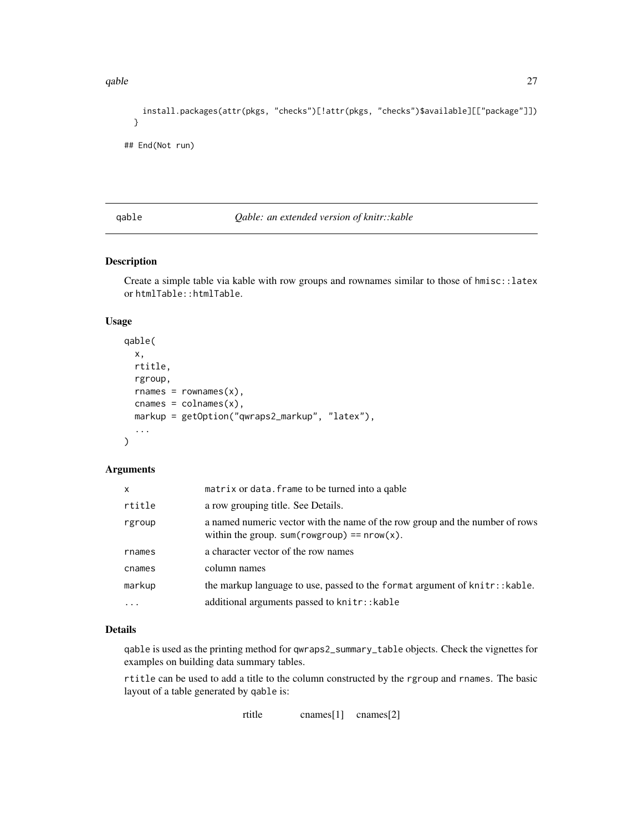<span id="page-26-0"></span>qable 27

```
install.packages(attr(pkgs, "checks")[!attr(pkgs, "checks")$available][["package"]])
}
```

```
## End(Not run)
```
# <span id="page-26-1"></span>qable *Qable: an extended version of knitr::kable*

# Description

Create a simple table via kable with row groups and rownames similar to those of hmisc::latex or htmlTable::htmlTable.

#### Usage

```
qable(
  x,
  rtitle,
  rgroup,
  rnames = rownames(x),
  cnames = \text{colnames}(x),
  markup = getOption("qwraps2_markup", "latex"),
  ...
)
```
# Arguments

| x        | matrix or data. frame to be turned into a qable                                                                                |
|----------|--------------------------------------------------------------------------------------------------------------------------------|
| rtitle   | a row grouping title. See Details.                                                                                             |
| rgroup   | a named numeric vector with the name of the row group and the number of rows<br>within the group. sum(rowgroup) == $nrow(x)$ . |
| rnames   | a character vector of the row names                                                                                            |
| cnames   | column names                                                                                                                   |
| markup   | the markup language to use, passed to the format argument of knitr:: kable.                                                    |
| $\cdots$ | additional arguments passed to knitr:: kable                                                                                   |

# Details

qable is used as the printing method for qwraps2\_summary\_table objects. Check the vignettes for examples on building data summary tables.

rtitle can be used to add a title to the column constructed by the rgroup and rnames. The basic layout of a table generated by qable is: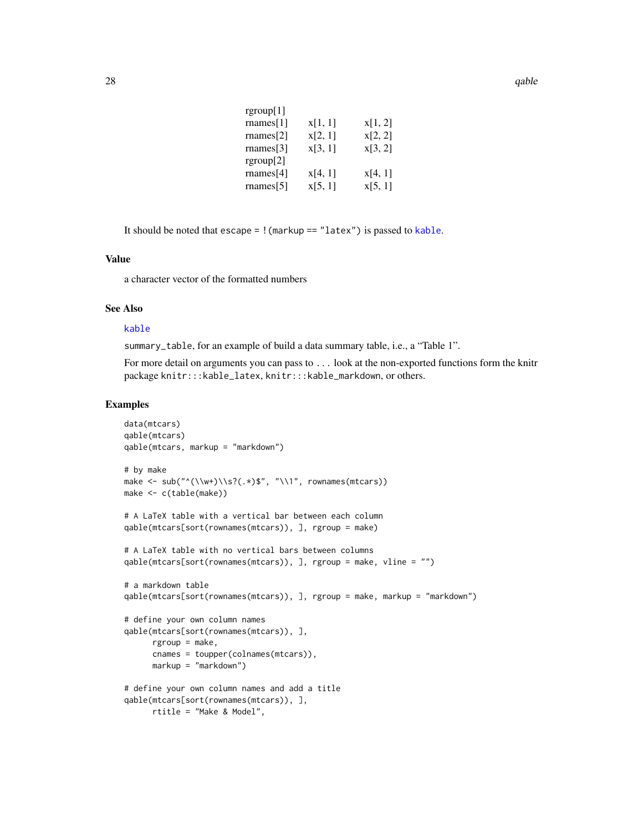<span id="page-27-0"></span>

| rgroup $[1]$      |         |         |
|-------------------|---------|---------|
| $\text{names}[1]$ | x[1, 1] | x[1, 2] |
| $r$ names $[2]$   | x[2, 1] | x[2, 2] |
| $r$ names[3]      | x[3, 1] | x[3, 2] |
| rgroup[2]         |         |         |
| $r$ names[4]      | x[4, 1] | x[4, 1] |
| $r$ names $[5]$   | x[5, 1] | x[5, 1] |

It should be noted that escape = !(markup == "latex") is passed to [kable](#page-0-0).

# Value

a character vector of the formatted numbers

# See Also

# [kable](#page-0-0)

summary\_table, for an example of build a data summary table, i.e., a "Table 1".

For more detail on arguments you can pass to . . . look at the non-exported functions form the knitr package knitr:::kable\_latex, knitr:::kable\_markdown, or others.

```
data(mtcars)
qable(mtcars)
qable(mtcars, markup = "markdown")
# by make
make \leq sub("\langle \langle \langle w+ \rangle \rangle \?(.*)$", "\\1", rownames(mtcars))
make <- c(table(make))
# A LaTeX table with a vertical bar between each column
qable(mtcars[sort(rownames(mtcars)), ], rgroup = make)
# A LaTeX table with no vertical bars between columns
qable(mtcars[sort(rownames(mtcars)), ], rgroup = make, vline = "")
# a markdown table
qable(mtcars[sort(rownames(mtcars)), ], rgroup = make, markup = "markdown")
# define your own column names
qable(mtcars[sort(rownames(mtcars)), ],
      rgroup = make,
      cnames = toupper(colnames(mtcars)),
      markup = "markdown")
# define your own column names and add a title
qable(mtcars[sort(rownames(mtcars)), ],
      rtitle = "Make & Model",
```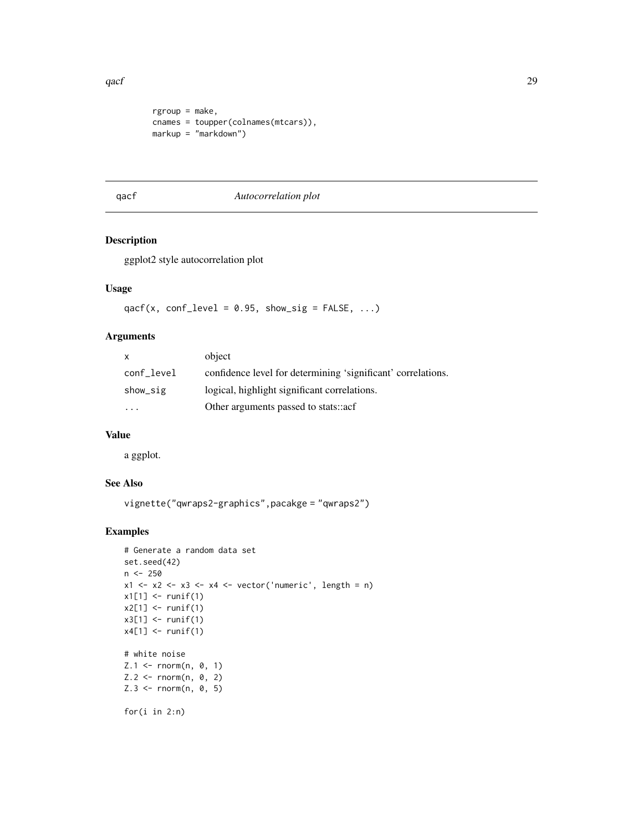<span id="page-28-0"></span>qacf 29

```
rgroup = make,
cnames = toupper(colnames(mtcars)),
markup = "markdown")
```
#### <span id="page-28-1"></span>qacf *Autocorrelation plot*

# Description

ggplot2 style autocorrelation plot

# Usage

qacf(x, conf\_level =  $0.95$ , show\_sig = FALSE, ...)

# Arguments

| X          | object                                                       |
|------------|--------------------------------------------------------------|
| conf level | confidence level for determining 'significant' correlations. |
| show_sig   | logical, highlight significant correlations.                 |
| $\cdot$    | Other arguments passed to stats::acf                         |

#### Value

a ggplot.

# See Also

```
vignette("qwraps2-graphics",pacakge = "qwraps2")
```

```
# Generate a random data set
set.seed(42)
n < -250x1 \le x2 \le x3 \le x4 \le x vector('numeric', length = n)
x1[1] <- runif(1)
x2[1] < - runif(1)
x3[1] <- runif(1)
x4[1] < - runif(1)
# white noise
Z.1 <- rnorm(n, 0, 1)
Z.2 \leq - \text{norm}(n, 0, 2)Z.3 \leq - \text{norm}(n, 0, 5)for(i in 2:n)
```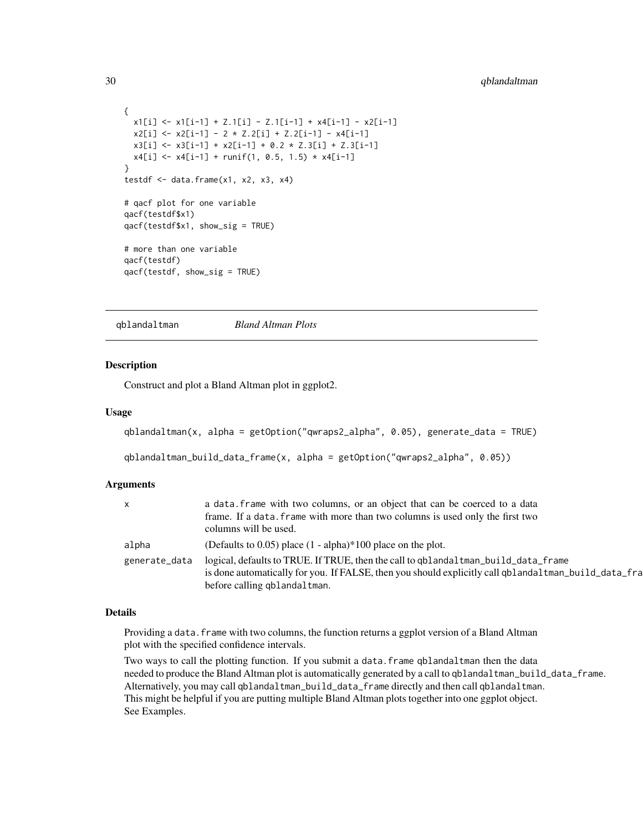```
{
  x1[i] <- x1[i-1] + Z.1[i] - Z.1[i-1] + x4[i-1] - x2[i-1]x2[i] <- x2[i-1] - 2 * Z.2[i] + Z.2[i-1] - x4[i-1]x3[i] <- x3[i-1] + x2[i-1] + 0.2 * Z.3[i] + Z.3[i-1]
  x4[i] <- x4[i-1] + runif(1, 0.5, 1.5) * x4[i-1]}
testdf \leq data.frame(x1, x2, x3, x4)# qacf plot for one variable
qacf(testdf$x1)
qacf(testdf$x1, show_sig = TRUE)
# more than one variable
qacf(testdf)
qacf(testdf, show_sig = TRUE)
```
<span id="page-29-1"></span>qblandaltman *Bland Altman Plots*

#### **Description**

Construct and plot a Bland Altman plot in ggplot2.

#### Usage

```
qblandaltman(x, alpha = getOption("qwraps2_alpha", 0.05), generate_data = TRUE)
```

```
qblandaltman_build_data_frame(x, alpha = getOption("qwraps2_alpha", 0.05))
```
#### Arguments

| $\mathsf{X}$  | a data. frame with two columns, or an object that can be coerced to a data                                                                                                                                                 |
|---------------|----------------------------------------------------------------------------------------------------------------------------------------------------------------------------------------------------------------------------|
|               | frame. If a data. frame with more than two columns is used only the first two<br>columns will be used.                                                                                                                     |
| alpha         | (Defaults to 0.05) place $(1 - alpha)*100$ place on the plot.                                                                                                                                                              |
| generate_data | logical, defaults to TRUE. If TRUE, then the call to qblandaltman_build_data_frame<br>is done automatically for you. If FALSE, then you should explicitly call qblandaltman_build_data_fra<br>before calling qblandaltman. |

#### Details

Providing a data. frame with two columns, the function returns a ggplot version of a Bland Altman plot with the specified confidence intervals.

Two ways to call the plotting function. If you submit a data.frame qblandaltman then the data needed to produce the Bland Altman plot is automatically generated by a call to qblandaltman\_build\_data\_frame. Alternatively, you may call qblandaltman\_build\_data\_frame directly and then call qblandaltman. This might be helpful if you are putting multiple Bland Altman plots together into one ggplot object. See Examples.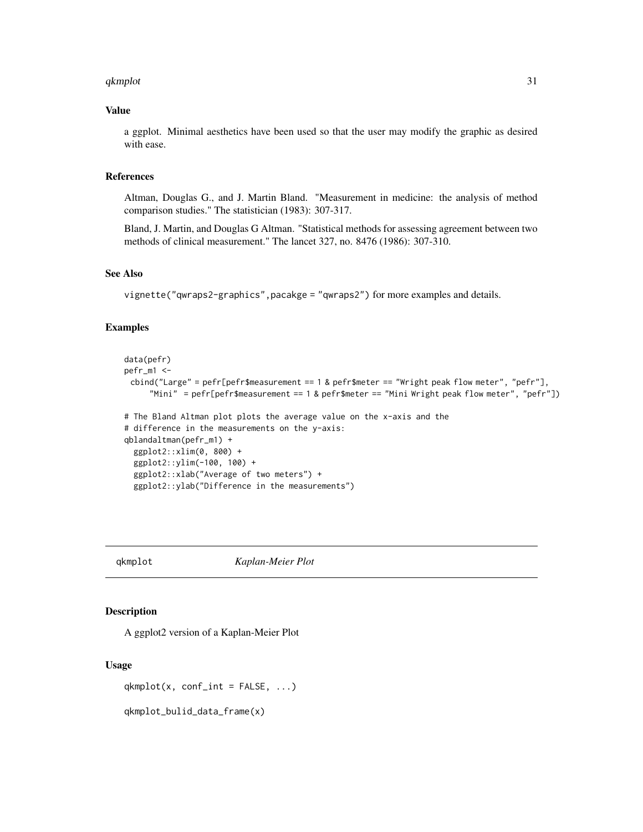#### <span id="page-30-0"></span>qkmplot 31

# Value

a ggplot. Minimal aesthetics have been used so that the user may modify the graphic as desired with ease.

#### References

Altman, Douglas G., and J. Martin Bland. "Measurement in medicine: the analysis of method comparison studies." The statistician (1983): 307-317.

Bland, J. Martin, and Douglas G Altman. "Statistical methods for assessing agreement between two methods of clinical measurement." The lancet 327, no. 8476 (1986): 307-310.

# See Also

vignette("qwraps2-graphics",pacakge = "qwraps2") for more examples and details.

#### Examples

```
data(pefr)
pefr_m1 <-
 cbind("Large" = pefr[pefr$measurement == 1 & pefr$meter == "Wright peak flow meter", "pefr"],
     "Mini" = pefr[pefr$measurement == 1 & pefr$meter == "Mini Wright peak flow meter", "pefr"])
# The Bland Altman plot plots the average value on the x-axis and the
# difference in the measurements on the y-axis:
qblandaltman(pefr_m1) +
 ggplot2::xlim(0, 800) +
 ggplot2::ylim(-100, 100) +
 ggplot2::xlab("Average of two meters") +
 ggplot2::ylab("Difference in the measurements")
```
<span id="page-30-1"></span>qkmplot *Kaplan-Meier Plot*

#### Description

A ggplot2 version of a Kaplan-Meier Plot

#### Usage

 $qkmplot(x, conf-int = FALSE, ...)$ 

qkmplot\_bulid\_data\_frame(x)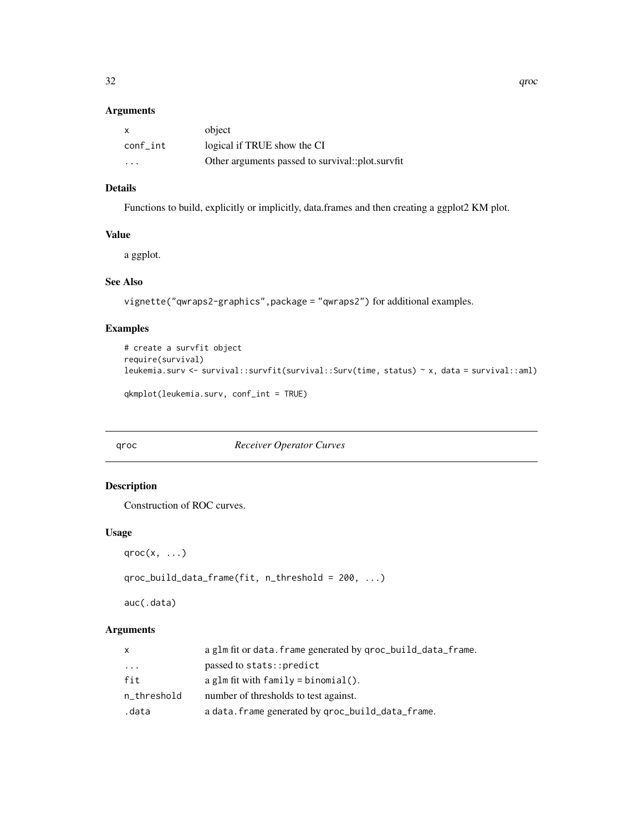# <span id="page-31-0"></span>Arguments

| X        | object                                           |
|----------|--------------------------------------------------|
| conf int | logical if TRUE show the CI                      |
| .        | Other arguments passed to survival::plot.survfit |

# Details

Functions to build, explicitly or implicitly, data.frames and then creating a ggplot2 KM plot.

#### Value

a ggplot.

# See Also

vignette("qwraps2-graphics",package = "qwraps2") for additional examples.

# Examples

```
# create a survfit object
require(survival)
leukemia.surv <- survival::survfit(survival::Surv(time, status) ~ x, data = survival::aml)
qkmplot(leukemia.surv, conf_int = TRUE)
```
### <span id="page-31-1"></span>qroc *Receiver Operator Curves*

# Description

Construction of ROC curves.

# Usage

```
qroc(x, \ldots)
```

```
qroc_build_data_frame(fit, n_threshold = 200, ...)
```
auc(.data)

# Arguments

| X           | a glm fit or data. frame generated by qroc_build_data_frame. |
|-------------|--------------------------------------------------------------|
| $\cdot$     | passed to stats::predict                                     |
| fit         | a glm fit with $family = binomial()$ .                       |
| n_threshold | number of thresholds to test against.                        |
| .data       | a data. frame generated by qroc_build_data_frame.            |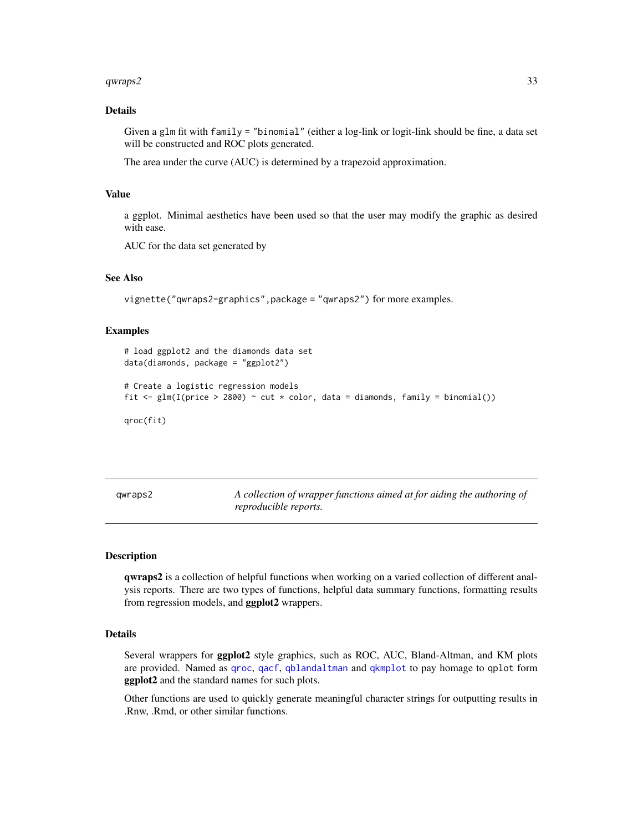#### <span id="page-32-0"></span> $qwraps2$  33

# Details

Given a glm fit with family = "binomial" (either a log-link or logit-link should be fine, a data set will be constructed and ROC plots generated.

The area under the curve (AUC) is determined by a trapezoid approximation.

#### Value

a ggplot. Minimal aesthetics have been used so that the user may modify the graphic as desired with ease.

AUC for the data set generated by

# See Also

vignette("qwraps2-graphics",package = "qwraps2") for more examples.

#### Examples

```
# load ggplot2 and the diamonds data set
data(diamonds, package = "ggplot2")
# Create a logistic regression models
fit \leq glm(I(price > 2800) \sim cut \star color, data = diamonds, family = binomial())
qroc(fit)
```
<span id="page-32-1"></span>qwraps2 *A collection of wrapper functions aimed at for aiding the authoring of reproducible reports.*

#### Description

qwraps2 is a collection of helpful functions when working on a varied collection of different analysis reports. There are two types of functions, helpful data summary functions, formatting results from regression models, and **ggplot2** wrappers.

#### Details

Several wrappers for ggplot2 style graphics, such as ROC, AUC, Bland-Altman, and KM plots are provided. Named as [qroc](#page-31-1), [qacf](#page-28-1), [qblandaltman](#page-29-1) and [qkmplot](#page-30-1) to pay homage to qplot form ggplot2 and the standard names for such plots.

Other functions are used to quickly generate meaningful character strings for outputting results in .Rnw, .Rmd, or other similar functions.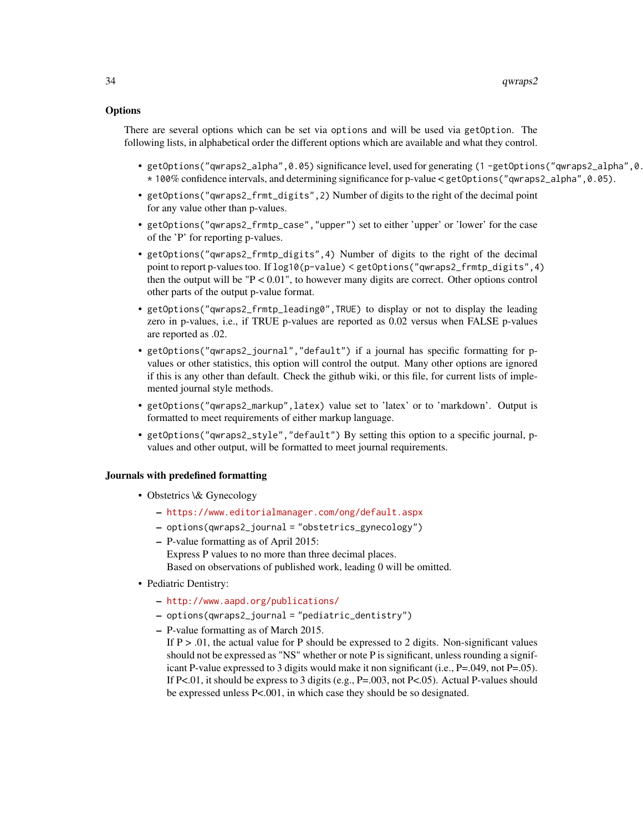### **Options**

There are several options which can be set via options and will be used via getOption. The following lists, in alphabetical order the different options which are available and what they control.

- getOptions("qwraps2\_alpha",0.05) significance level, used for generating (1 -getOptions("qwraps2\_alpha",0.05)) \* 100% confidence intervals, and determining significance for p-value < getOptions("qwraps2\_alpha",0.05).
- getOptions("qwraps2\_frmt\_digits",2) Number of digits to the right of the decimal point for any value other than p-values.
- getOptions("qwraps2\_frmtp\_case","upper") set to either 'upper' or 'lower' for the case of the 'P' for reporting p-values.
- getOptions("qwraps2\_frmtp\_digits",4) Number of digits to the right of the decimal point to report p-values too. If log10(p-value) < getOptions("qwraps2\_frmtp\_digits",4) then the output will be  $P < 0.01$ ", to however many digits are correct. Other options control other parts of the output p-value format.
- getOptions("qwraps2\_frmtp\_leading0",TRUE) to display or not to display the leading zero in p-values, i.e., if TRUE p-values are reported as 0.02 versus when FALSE p-values are reported as .02.
- getOptions("qwraps2\_journal","default") if a journal has specific formatting for pvalues or other statistics, this option will control the output. Many other options are ignored if this is any other than default. Check the github wiki, or this file, for current lists of implemented journal style methods.
- getOptions("qwraps2\_markup",latex) value set to 'latex' or to 'markdown'. Output is formatted to meet requirements of either markup language.
- getOptions("qwraps2\_style","default") By setting this option to a specific journal, pvalues and other output, will be formatted to meet journal requirements.

#### Journals with predefined formatting

- Obstetrics \& Gynecology
	- <https://www.editorialmanager.com/ong/default.aspx>
	- options(qwraps2\_journal = "obstetrics\_gynecology")
	- P-value formatting as of April 2015: Express P values to no more than three decimal places. Based on observations of published work, leading 0 will be omitted.
- Pediatric Dentistry:
	- <http://www.aapd.org/publications/>
	- options(qwraps2\_journal = "pediatric\_dentistry")
	- P-value formatting as of March 2015.
		- If  $P > 0.01$ , the actual value for P should be expressed to 2 digits. Non-significant values should not be expressed as "NS" whether or note P is significant, unless rounding a significant P-value expressed to 3 digits would make it non significant (i.e., P=.049, not P=.05). If P<.01, it should be express to 3 digits (e.g.,  $P=.003$ , not P<.05). Actual P-values should be expressed unless P<.001, in which case they should be so designated.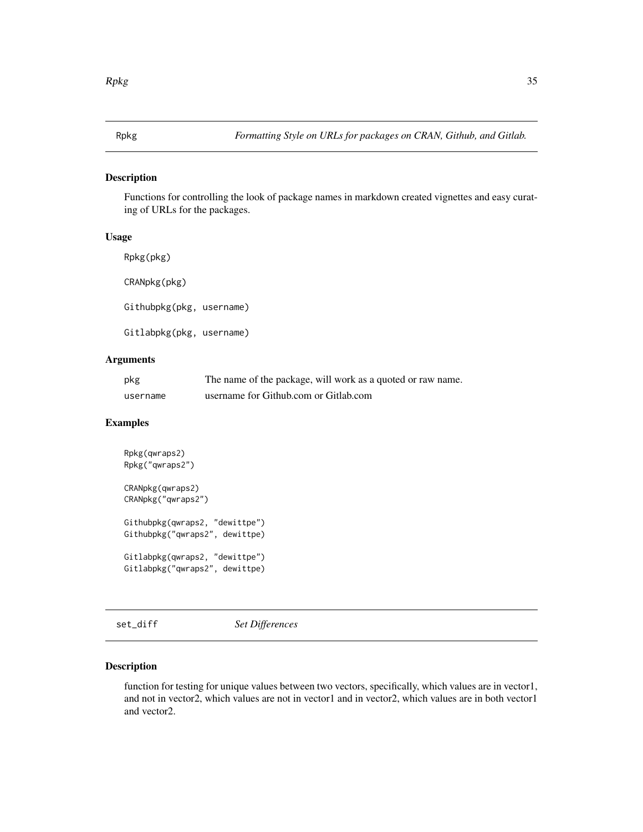<span id="page-34-0"></span>

#### Description

Functions for controlling the look of package names in markdown created vignettes and easy curating of URLs for the packages.

# Usage

Rpkg(pkg) CRANpkg(pkg) Githubpkg(pkg, username) Gitlabpkg(pkg, username)

# Arguments

| pkg      | The name of the package, will work as a quoted or raw name. |
|----------|-------------------------------------------------------------|
| username | username for Github.com or Gitlab.com                       |

# Examples

```
Rpkg(qwraps2)
Rpkg("qwraps2")
CRANpkg(qwraps2)
CRANpkg("qwraps2")
Githubpkg(qwraps2, "dewittpe")
Githubpkg("qwraps2", dewittpe)
Gitlabpkg(qwraps2, "dewittpe")
Gitlabpkg("qwraps2", dewittpe)
```
set\_diff *Set Differences*

#### Description

function for testing for unique values between two vectors, specifically, which values are in vector1, and not in vector2, which values are not in vector1 and in vector2, which values are in both vector1 and vector2.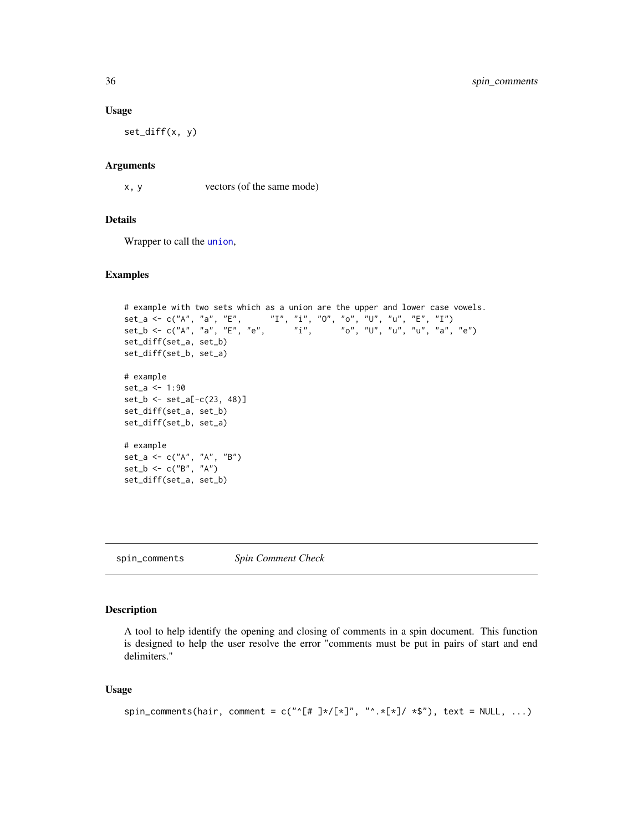#### Usage

set\_diff(x, y)

#### Arguments

x, y vectors (of the same mode)

# Details

Wrapper to call the [union](#page-0-0),

#### Examples

```
# example with two sets which as a union are the upper and lower case vowels.
set_a <- c("A", "a", "E", "I", "i", "O", "o", "U", "u", "E", "I")
set_b <- c("A", "a", "E", "e", "i", "o", "U", "u", "u", "a", "e")
set_diff(set_a, set_b)
set_diff(set_b, set_a)
# example
set_a <- 1:90
set_b \leftarrow set_a[-c(23, 48)]set_diff(set_a, set_b)
set_diff(set_b, set_a)
# example
set_a \leftarrow c("A", "A", "B")set_b <- c("B", "A")
set_diff(set_a, set_b)
```
spin\_comments *Spin Comment Check*

#### Description

A tool to help identify the opening and closing of comments in a spin document. This function is designed to help the user resolve the error "comments must be put in pairs of start and end delimiters."

#### Usage

```
spin_comments(hair, comment = c("^[# ]*/[*]", "^.*[*]/ *$"), text = NULL, ...)
```
<span id="page-35-0"></span>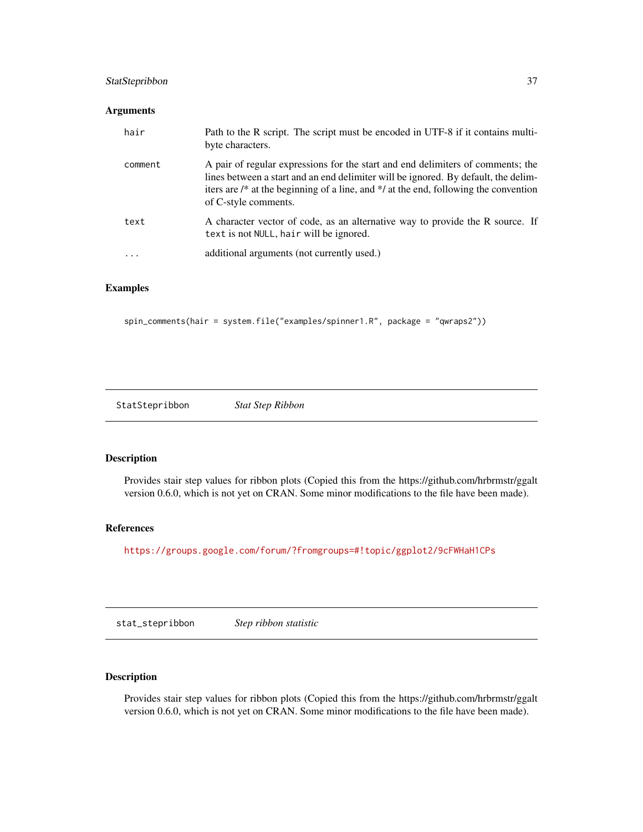# <span id="page-36-0"></span>StatStepribbon 37

# Arguments

| hair    | Path to the R script. The script must be encoded in UTF-8 if it contains multi-<br>byte characters.                                                                                                                                                                                             |
|---------|-------------------------------------------------------------------------------------------------------------------------------------------------------------------------------------------------------------------------------------------------------------------------------------------------|
| comment | A pair of regular expressions for the start and end delimiters of comments; the<br>lines between a start and an end delimiter will be ignored. By default, the delim-<br>iters are $\ell^*$ at the beginning of a line, and $\ell$ at the end, following the convention<br>of C-style comments. |
| text    | A character vector of code, as an alternative way to provide the R source. If<br>text is not NULL, hair will be ignored.                                                                                                                                                                        |
| .       | additional arguments (not currently used.)                                                                                                                                                                                                                                                      |

# Examples

spin\_comments(hair = system.file("examples/spinner1.R", package = "qwraps2"))

StatStepribbon *Stat Step Ribbon*

#### Description

Provides stair step values for ribbon plots (Copied this from the https://github.com/hrbrmstr/ggalt version 0.6.0, which is not yet on CRAN. Some minor modifications to the file have been made).

# References

<https://groups.google.com/forum/?fromgroups=#!topic/ggplot2/9cFWHaH1CPs>

stat\_stepribbon *Step ribbon statistic*

# Description

Provides stair step values for ribbon plots (Copied this from the https://github.com/hrbrmstr/ggalt version 0.6.0, which is not yet on CRAN. Some minor modifications to the file have been made).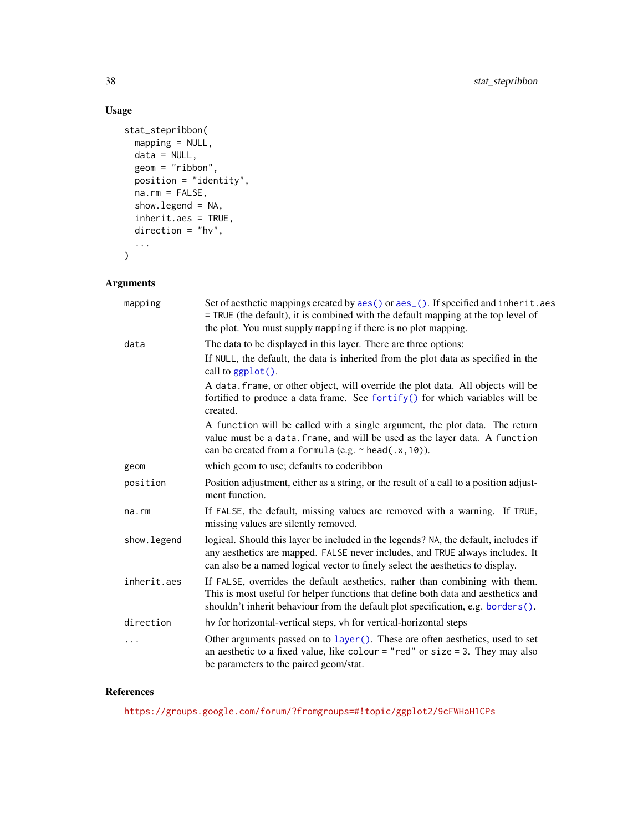# Usage

```
stat_stepribbon(
  mapping = NULL,
  data = NULL,
  geom = "ribbon",
  position = "identity",
  na.rm = FALSE,show.legend = NA,
  inherit.aes = TRUE,
  direction = "hv",...
\mathcal{L}
```
# Arguments

| mapping     | Set of aesthetic mappings created by aes () or aes (). If specified and inherit. aes<br>= TRUE (the default), it is combined with the default mapping at the top level of<br>the plot. You must supply mapping if there is no plot mapping.            |
|-------------|--------------------------------------------------------------------------------------------------------------------------------------------------------------------------------------------------------------------------------------------------------|
| data        | The data to be displayed in this layer. There are three options:                                                                                                                                                                                       |
|             | If NULL, the default, the data is inherited from the plot data as specified in the<br>call to $ggplot()$ .                                                                                                                                             |
|             | A data. frame, or other object, will override the plot data. All objects will be<br>fortified to produce a data frame. See fortify() for which variables will be<br>created.                                                                           |
|             | A function will be called with a single argument, the plot data. The return<br>value must be a data. frame, and will be used as the layer data. A function<br>can be created from a formula (e.g. $\sim$ head(.x, 10)).                                |
| geom        | which geom to use; defaults to coderibbon                                                                                                                                                                                                              |
| position    | Position adjustment, either as a string, or the result of a call to a position adjust-<br>ment function.                                                                                                                                               |
| na.rm       | If FALSE, the default, missing values are removed with a warning. If TRUE,<br>missing values are silently removed.                                                                                                                                     |
| show.legend | logical. Should this layer be included in the legends? NA, the default, includes if<br>any aesthetics are mapped. FALSE never includes, and TRUE always includes. It<br>can also be a named logical vector to finely select the aesthetics to display. |
| inherit.aes | If FALSE, overrides the default aesthetics, rather than combining with them.<br>This is most useful for helper functions that define both data and aesthetics and<br>shouldn't inherit behaviour from the default plot specification, e.g. borders().  |
| direction   | hy for horizontal-vertical steps, vh for vertical-horizontal steps                                                                                                                                                                                     |
| .           | Other arguments passed on to layer (). These are often aesthetics, used to set<br>an aesthetic to a fixed value, like colour = "red" or size = 3. They may also<br>be parameters to the paired geom/stat.                                              |

# References

<https://groups.google.com/forum/?fromgroups=#!topic/ggplot2/9cFWHaH1CPs>

<span id="page-37-0"></span>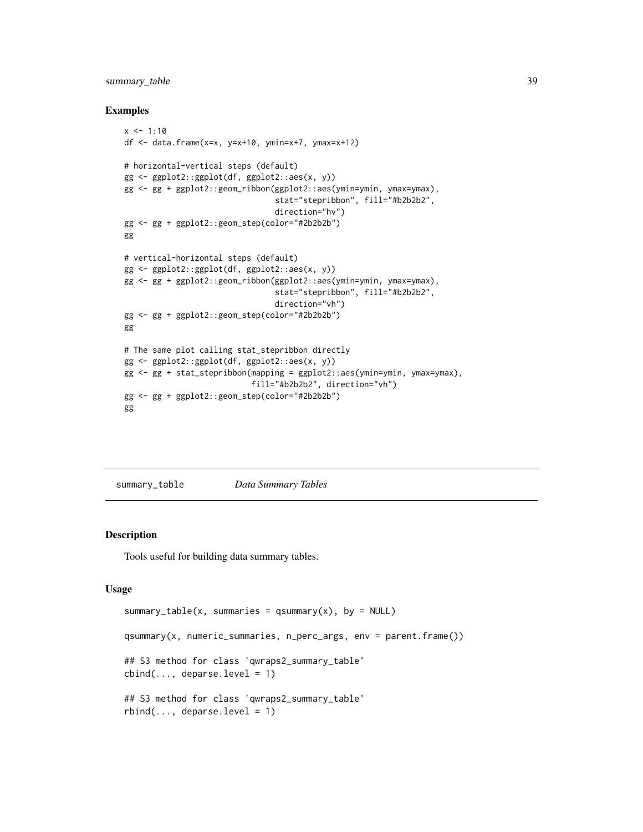# <span id="page-38-0"></span>summary\_table 39

#### Examples

```
x < -1:10df <- data.frame(x=x, y=x+10, ymin=x+7, ymax=x+12)
# horizontal-vertical steps (default)
gg <- ggplot2::ggplot(df, ggplot2::aes(x, y))
gg <- gg + ggplot2::geom_ribbon(ggplot2::aes(ymin=ymin, ymax=ymax),
                                stat="stepribbon", fill="#b2b2b2",
                                direction="hv")
gg <- gg + ggplot2::geom_step(color="#2b2b2b")
gg
# vertical-horizontal steps (default)
gg <- ggplot2::ggplot(df, ggplot2::aes(x, y))
gg <- gg + ggplot2::geom_ribbon(ggplot2::aes(ymin=ymin, ymax=ymax),
                                stat="stepribbon", fill="#b2b2b2",
                                direction="vh")
gg <- gg + ggplot2::geom_step(color="#2b2b2b")
gg
# The same plot calling stat_stepribbon directly
gg <- ggplot2::ggplot(df, ggplot2::aes(x, y))
gg <- gg + stat_stepribbon(mapping = ggplot2::aes(ymin=ymin, ymax=ymax),
                           fill="#b2b2b2", direction="vh")
gg <- gg + ggplot2::geom_step(color="#2b2b2b")
gg
```
summary\_table *Data Summary Tables*

### <span id="page-38-1"></span>Description

Tools useful for building data summary tables.

#### Usage

```
summary_table(x, summaries = qsummary(x), by = NULL)
qsummary(x, numeric_summaries, n_perc_args, env = parent.frame())
## S3 method for class 'qwraps2_summary_table'
cbind(..., deparse.level = 1)## S3 method for class 'qwraps2_summary_table'
rbind(..., deparse. level = 1)
```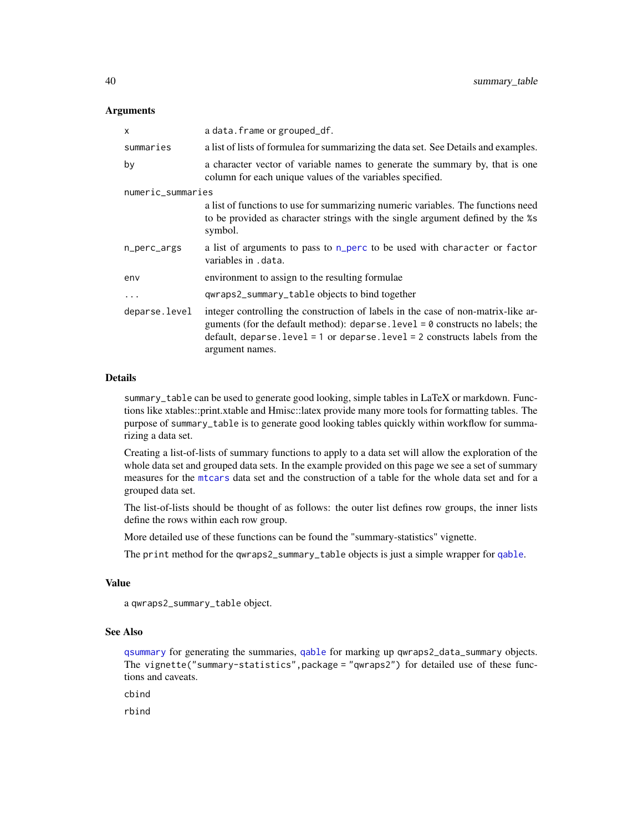#### <span id="page-39-0"></span>**Arguments**

| X                 | a data. frame or grouped_df.                                                                                                                                                                                                                                                 |
|-------------------|------------------------------------------------------------------------------------------------------------------------------------------------------------------------------------------------------------------------------------------------------------------------------|
| summaries         | a list of lists of formule afor summarizing the data set. See Details and examples.                                                                                                                                                                                          |
| by                | a character vector of variable names to generate the summary by, that is one<br>column for each unique values of the variables specified.                                                                                                                                    |
| numeric_summaries |                                                                                                                                                                                                                                                                              |
|                   | a list of functions to use for summarizing numeric variables. The functions need<br>to be provided as character strings with the single argument defined by the %s<br>symbol.                                                                                                |
| n_perc_args       | a list of arguments to pass to n_perc to be used with character or factor<br>variables in .data.                                                                                                                                                                             |
| env               | environment to assign to the resulting formulae                                                                                                                                                                                                                              |
| $\ddots$          | qwraps2_summary_table objects to bind together                                                                                                                                                                                                                               |
| deparse.level     | integer controlling the construction of labels in the case of non-matrix-like ar-<br>guments (for the default method): deparse. level $= 0$ constructs no labels; the<br>default, deparse. $level = 1$ or deparse. $level = 2$ constructs labels from the<br>argument names. |

#### Details

summary\_table can be used to generate good looking, simple tables in LaTeX or markdown. Functions like xtables::print.xtable and Hmisc::latex provide many more tools for formatting tables. The purpose of summary\_table is to generate good looking tables quickly within workflow for summarizing a data set.

Creating a list-of-lists of summary functions to apply to a data set will allow the exploration of the whole data set and grouped data sets. In the example provided on this page we see a set of summary measures for the [mtcars](#page-0-0) data set and the construction of a table for the whole data set and for a grouped data set.

The list-of-lists should be thought of as follows: the outer list defines row groups, the inner lists define the rows within each row group.

More detailed use of these functions can be found the "summary-statistics" vignette.

The print method for the qwraps2\_summary\_table objects is just a simple wrapper for [qable](#page-26-1).

# Value

```
a qwraps2_summary_table object.
```
#### See Also

[qsummary](#page-38-1) for generating the summaries, [qable](#page-26-1) for marking up qwraps2\_data\_summary objects. The vignette("summary-statistics",package = "qwraps2") for detailed use of these functions and caveats.

cbind

rbind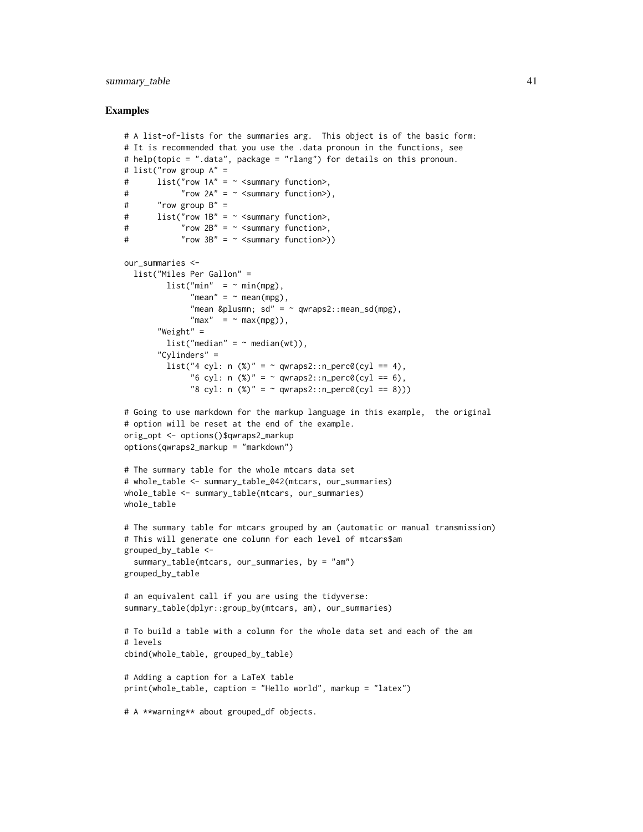# summary\_table 41

```
# A list-of-lists for the summaries arg. This object is of the basic form:
# It is recommended that you use the .data pronoun in the functions, see
# help(topic = ".data", package = "rlang") for details on this pronoun.
# list("row group A" =
# list("row 1A" = ~ <summary function>,
# "row 2A" = ~< summary function>),# "row group B" =
# list("row 1B" = ~ <summary function>,
# "row 2B" = ~ <summary function>,
# "row 3B'' = \sim <summary function>))
our_summaries <-
 list("Miles Per Gallon" =
        list("min" = ~ min(mpg),"mean" = \sim mean(mpg),
              "mean & plusmn; sd" = \sim qwraps2:: mean_sd(mpg),
             "max" = ~max(mpg)),"Weight" =
        list("median" = ~median(wt)),"Cylinders" =
        list("4 cyl: n (*)" = ~amp; qwraps2::n\_perc0(cyl == 4),"6 cyl: n (%)" = ~ qwraps2::n perc0(cyl == 6),
              "8 cyl: n (%)" = ~ qwraps2:: n_{perc0}(cyl == 8)))
# Going to use markdown for the markup language in this example, the original
# option will be reset at the end of the example.
orig_opt <- options()$qwraps2_markup
options(qwraps2_markup = "markdown")
# The summary table for the whole mtcars data set
# whole_table <- summary_table_042(mtcars, our_summaries)
whole_table <- summary_table(mtcars, our_summaries)
whole_table
# The summary table for mtcars grouped by am (automatic or manual transmission)
# This will generate one column for each level of mtcars$am
grouped_by_table <-
 summary_table(mtcars, our_summaries, by = "am")
grouped_by_table
# an equivalent call if you are using the tidyverse:
summary_table(dplyr::group_by(mtcars, am), our_summaries)
# To build a table with a column for the whole data set and each of the am
# levels
cbind(whole_table, grouped_by_table)
# Adding a caption for a LaTeX table
print(whole_table, caption = "Hello world", markup = "latex")
# A **warning** about grouped_df objects.
```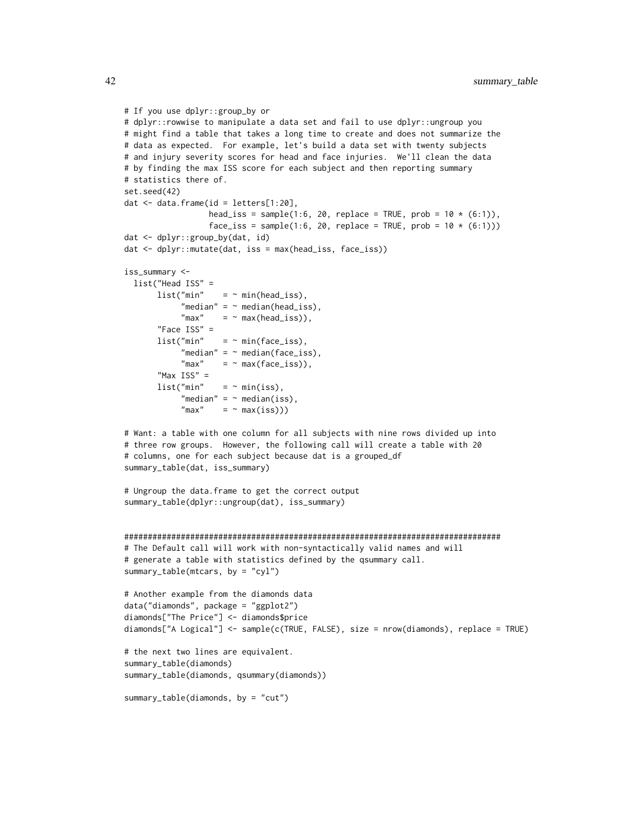```
# If you use dplyr::group_by or
# dplyr::rowwise to manipulate a data set and fail to use dplyr::ungroup you
# might find a table that takes a long time to create and does not summarize the
# data as expected. For example, let's build a data set with twenty subjects
# and injury severity scores for head and face injuries. We'll clean the data
# by finding the max ISS score for each subject and then reporting summary
# statistics there of.
set.seed(42)
dat <- data.frame(id = letters[1:20],
                  head_iss = sample(1:6, 20, replace = TRUE, prob = 10 * (6:1)),
                  face\_iss = sample(1:6, 20, replace = TRUE, prob = 10 * (6:1)))dat <- dplyr::group_by(dat, id)
dat <- dplyr::mutate(dat, iss = max(head_iss, face_iss))
iss_summary <-
 list("Head ISS" =
      list("min" = ~ min(head_is),"median" = \sim median(head_iss),
            "max" = \sim max(head_iss)),
       "Face ISS" =
      list("min" = ~ min(face_is),"median" = ~median(face_is),"max" = ~ max(face_iss)),"Max ISS" =
                    = \sim min(iss),
            "median" = \sim median(iss),
            "max" = ~ max(iss)))# Want: a table with one column for all subjects with nine rows divided up into
# three row groups. However, the following call will create a table with 20
# columns, one for each subject because dat is a grouped_df
summary_table(dat, iss_summary)
# Ungroup the data.frame to get the correct output
summary_table(dplyr::ungroup(dat), iss_summary)
################################################################################
# The Default call will work with non-syntactically valid names and will
# generate a table with statistics defined by the qsummary call.
summary_table(mtcars, by = "cyl")
# Another example from the diamonds data
data("diamonds", package = "ggplot2")
diamonds["The Price"] <- diamonds$price
diamonds["A Logical"] <- sample(c(TRUE, FALSE), size = nrow(diamonds), replace = TRUE)
# the next two lines are equivalent.
summary_table(diamonds)
summary_table(diamonds, qsummary(diamonds))
summary_table(diamonds, by = "cut")
```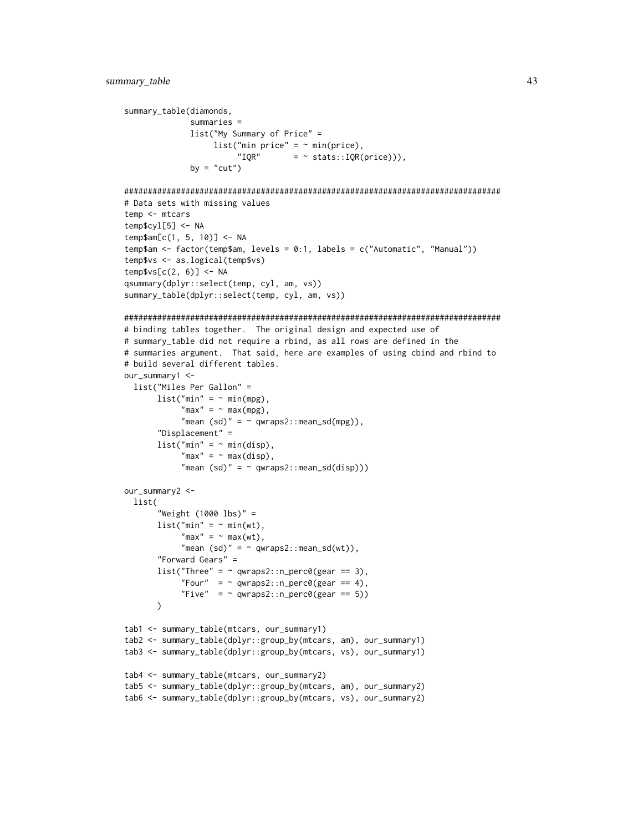```
summary_table(diamonds,
             summaries =
             list("My Summary of Price" =
                  list("min price" = \sim min(price),
                       "IQR" = " stats::IQR(price)),
             by = "cut")
```

```
################################################################################
# Data sets with missing values
```

```
temp <- mtcars
temp$cyl[5] <- NA
temp$am[c(1, 5, 10)] <- NA
temp$am <- factor(temp$am, levels = 0:1, labels = c("Automatic", "Manual"))
temp$vs <- as.logical(temp$vs)
temp$vs[C(2, 6)] < -NAqsummary(dplyr::select(temp, cyl, am, vs))
summary_table(dplyr::select(temp, cyl, am, vs))
```

```
################################################################################
# binding tables together. The original design and expected use of
# summary_table did not require a rbind, as all rows are defined in the
# summaries argument. That said, here are examples of using cbind and rbind to
# build several different tables.
our_summary1 <-
 list("Miles Per Gallon" =
      list("min" = ~min(mpg),"max" = ~max(mpg),
            "mean (sd)" = ~ qwraps2::mean_sd(mpg)),
       "Displacement" =
      list("min" = ~ min(disp),"max" = ~ max(disp),
            "mean (sd)" = ~ qwraps2::mean_sd(disp)))
our_summary2 <-
 list(
       "Weight (1000 lbs)" =
      list("min" = ~min(wt),"max" = ~max(wt),
            "mean (sd)" = ~ qwraps2::mean_sd(wt)),
       "Forward Gears" =
      list("Three" = ~amp; qwraps2::n\_perc0(gear == 3),"Four" = \sim qwraps2::n_perc0(gear == 4),
            "Five" = "qwraps2::n\_perc0(gear == 5)))
tab1 <- summary_table(mtcars, our_summary1)
tab2 <- summary_table(dplyr::group_by(mtcars, am), our_summary1)
tab3 <- summary_table(dplyr::group_by(mtcars, vs), our_summary1)
tab4 <- summary_table(mtcars, our_summary2)
tab5 <- summary_table(dplyr::group_by(mtcars, am), our_summary2)
tab6 <- summary_table(dplyr::group_by(mtcars, vs), our_summary2)
```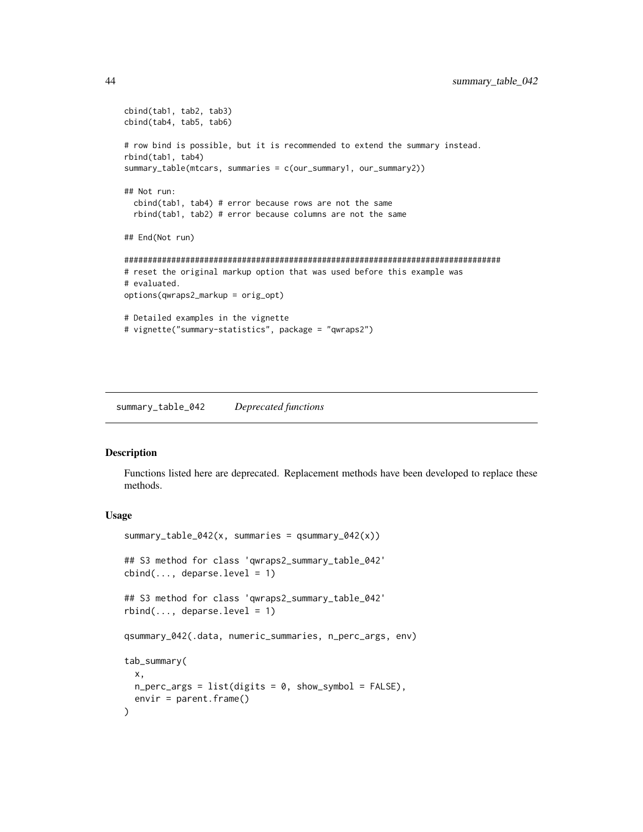```
cbind(tab1, tab2, tab3)
cbind(tab4, tab5, tab6)
# row bind is possible, but it is recommended to extend the summary instead.
rbind(tab1, tab4)
summary_table(mtcars, summaries = c(our_summary1, our_summary2))
## Not run:
  cbind(tab1, tab4) # error because rows are not the same
  rbind(tab1, tab2) # error because columns are not the same
## End(Not run)
################################################################################
# reset the original markup option that was used before this example was
# evaluated.
options(qwraps2_markup = orig_opt)
# Detailed examples in the vignette
# vignette("summary-statistics", package = "qwraps2")
```
summary\_table\_042 *Deprecated functions*

#### Description

Functions listed here are deprecated. Replacement methods have been developed to replace these methods.

#### Usage

```
summary_table_042(x, summaries = qsummary_042(x))
## S3 method for class 'qwraps2_summary_table_042'
cbind(..., deparse.level = 1)## S3 method for class 'qwraps2_summary_table_042'
rbind(..., deparse.level = 1)qsummary_042(.data, numeric_summaries, n_perc_args, env)
tab_summary(
 x,
 n_{\text{perc}}args = list(digits = 0, show_symbol = FALSE),
  envir = parent.frame()
)
```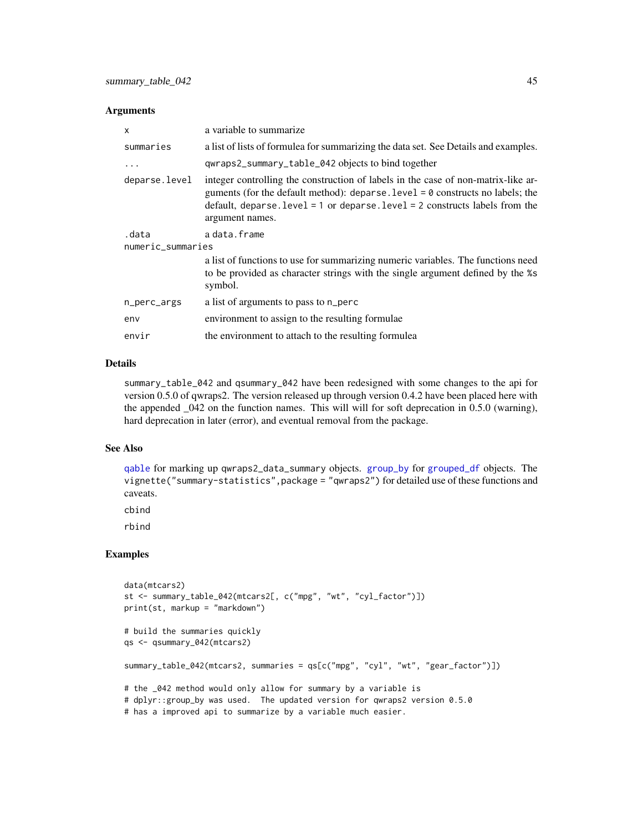#### <span id="page-44-0"></span>**Arguments**

| x                 | a variable to summarize                                                                                                                                                                                                                                                      |  |
|-------------------|------------------------------------------------------------------------------------------------------------------------------------------------------------------------------------------------------------------------------------------------------------------------------|--|
| summaries         | a list of lists of formulea for summarizing the data set. See Details and examples.                                                                                                                                                                                          |  |
| .                 | qwraps2_summary_table_042 objects to bind together                                                                                                                                                                                                                           |  |
| deparse.level     | integer controlling the construction of labels in the case of non-matrix-like ar-<br>guments (for the default method): deparse. level $= 0$ constructs no labels; the<br>default, deparse. $level = 1$ or deparse. $level = 2$ constructs labels from the<br>argument names. |  |
| .data             | a data.frame                                                                                                                                                                                                                                                                 |  |
| numeric_summaries |                                                                                                                                                                                                                                                                              |  |
|                   | a list of functions to use for summarizing numeric variables. The functions need<br>to be provided as character strings with the single argument defined by the %s<br>symbol.                                                                                                |  |
| n_perc_args       | a list of arguments to pass to n_perc                                                                                                                                                                                                                                        |  |
| env               | environment to assign to the resulting formulae                                                                                                                                                                                                                              |  |
| envir             | the environment to attach to the resulting formulear                                                                                                                                                                                                                         |  |
|                   |                                                                                                                                                                                                                                                                              |  |

# Details

summary\_table\_042 and qsummary\_042 have been redesigned with some changes to the api for version 0.5.0 of qwraps2. The version released up through version 0.4.2 have been placed here with the appended \_042 on the function names. This will will for soft deprecation in 0.5.0 (warning), hard deprecation in later (error), and eventual removal from the package.

#### See Also

[qable](#page-26-1) for marking up qwraps2\_data\_summary objects. [group\\_by](#page-0-0) for [grouped\\_df](#page-0-0) objects. The vignette("summary-statistics",package = "qwraps2") for detailed use of these functions and caveats.

cbind

rbind

```
data(mtcars2)
st <- summary_table_042(mtcars2[, c("mpg", "wt", "cyl_factor")])
print(st, markup = "markdown")
# build the summaries quickly
qs <- qsummary_042(mtcars2)
summary_table_042(mtcars2, summaries = qs[c("mpg", "cyl", "wt", "gear_factor")])
# the _042 method would only allow for summary by a variable is
# dplyr::group_by was used. The updated version for qwraps2 version 0.5.0
# has a improved api to summarize by a variable much easier.
```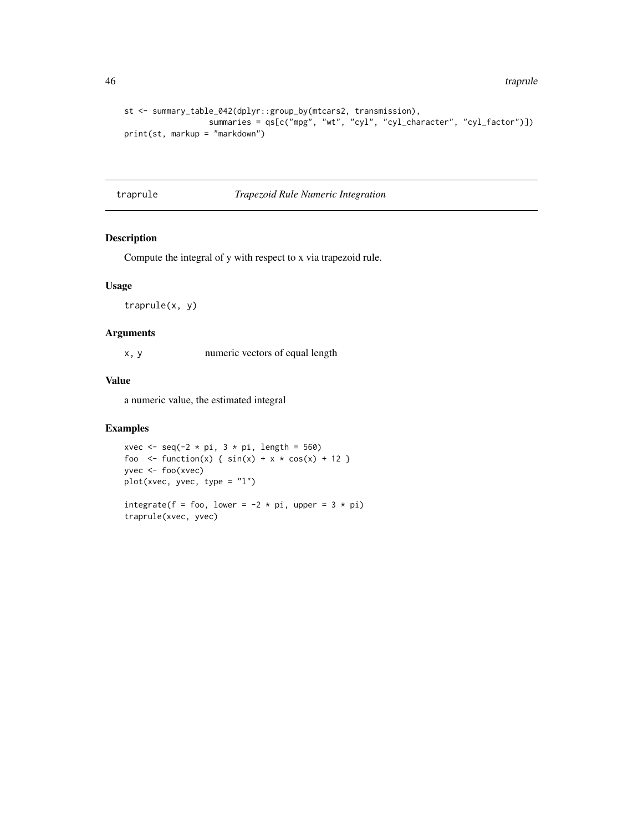```
st <- summary_table_042(dplyr::group_by(mtcars2, transmission),
                 summaries = qs[c("mpg", "wt", "cyl", "cyl_character", "cyl_factor")])
print(st, markup = "markdown")
```
traprule *Trapezoid Rule Numeric Integration*

### Description

Compute the integral of y with respect to x via trapezoid rule.

#### Usage

traprule(x, y)

#### Arguments

x, y numeric vectors of equal length

# Value

a numeric value, the estimated integral

```
xvec \leq seq(-2 \star pi, 3 \star pi, length = 560)
foo <- function(x) { sin(x) + x * cos(x) + 12 }
yvec <- foo(xvec)
plot(xvec, yvec, type = "l")
```

```
integrate(f = foo, lower = -2 * pi, upper = 3 * pi)
traprule(xvec, yvec)
```
<span id="page-45-0"></span>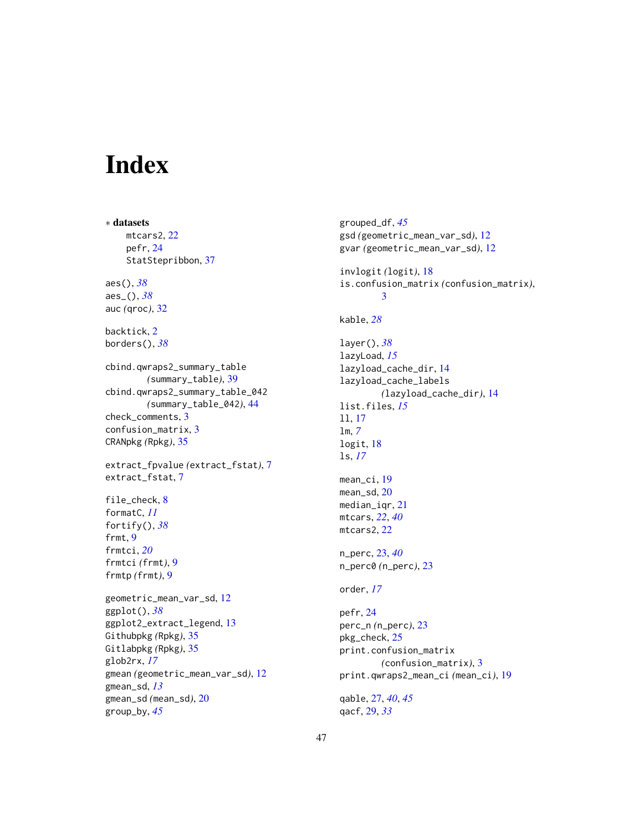# <span id="page-46-0"></span>Index

∗ datasets mtcars2, [22](#page-21-0) pefr, [24](#page-23-0) StatStepribbon, [37](#page-36-0) aes(), *[38](#page-37-0)* aes\_(), *[38](#page-37-0)* auc *(*qroc*)*, [32](#page-31-0) backtick, [2](#page-1-0) borders(), *[38](#page-37-0)* cbind.qwraps2\_summary\_table *(*summary\_table*)*, [39](#page-38-0) cbind.qwraps2\_summary\_table\_042 *(*summary\_table\_042*)*, [44](#page-43-0) check\_comments, [3](#page-2-0) confusion\_matrix, [3](#page-2-0) CRANpkg *(*Rpkg*)*, [35](#page-34-0) extract\_fpvalue *(*extract\_fstat*)*, [7](#page-6-0) extract\_fstat, [7](#page-6-0) file\_check, [8](#page-7-0) formatC, *[11](#page-10-0)* fortify(), *[38](#page-37-0)* frmt, [9](#page-8-0) frmtci, *[20](#page-19-0)* frmtci *(*frmt*)*, [9](#page-8-0) frmtp *(*frmt*)*, [9](#page-8-0) geometric\_mean\_var\_sd, [12](#page-11-0) ggplot(), *[38](#page-37-0)* ggplot2\_extract\_legend, [13](#page-12-0) Githubpkg *(*Rpkg*)*, [35](#page-34-0) Gitlabpkg *(*Rpkg*)*, [35](#page-34-0) glob2rx, *[17](#page-16-0)* gmean *(*geometric\_mean\_var\_sd*)*, [12](#page-11-0) gmean\_sd, *[13](#page-12-0)* gmean\_sd *(*mean\_sd*)*, [20](#page-19-0) group\_by, *[45](#page-44-0)*

grouped\_df, *[45](#page-44-0)* gsd *(*geometric\_mean\_var\_sd*)*, [12](#page-11-0) gvar *(*geometric\_mean\_var\_sd*)*, [12](#page-11-0) invlogit *(*logit*)*, [18](#page-17-0) is.confusion\_matrix *(*confusion\_matrix*)*, [3](#page-2-0) kable, *[28](#page-27-0)* layer(), *[38](#page-37-0)* lazyLoad, *[15](#page-14-0)* lazyload\_cache\_dir, [14](#page-13-0) lazyload\_cache\_labels *(*lazyload\_cache\_dir*)*, [14](#page-13-0) list.files, *[15](#page-14-0)* ll, [17](#page-16-0) lm, *[7](#page-6-0)* logit, [18](#page-17-0) ls, *[17](#page-16-0)* mean\_ci, [19](#page-18-0) mean\_sd, [20](#page-19-0) median\_iqr, [21](#page-20-0) mtcars, *[22](#page-21-0)*, *[40](#page-39-0)* mtcars2, [22](#page-21-0) n\_perc, [23,](#page-22-0) *[40](#page-39-0)* n\_perc0 *(*n\_perc*)*, [23](#page-22-0) order, *[17](#page-16-0)* pefr, [24](#page-23-0) perc\_n *(*n\_perc*)*, [23](#page-22-0) pkg\_check, [25](#page-24-0) print.confusion\_matrix *(*confusion\_matrix*)*, [3](#page-2-0) print.qwraps2\_mean\_ci *(*mean\_ci*)*, [19](#page-18-0) qable, [27,](#page-26-0) *[40](#page-39-0)*, *[45](#page-44-0)* qacf, [29,](#page-28-0) *[33](#page-32-0)*